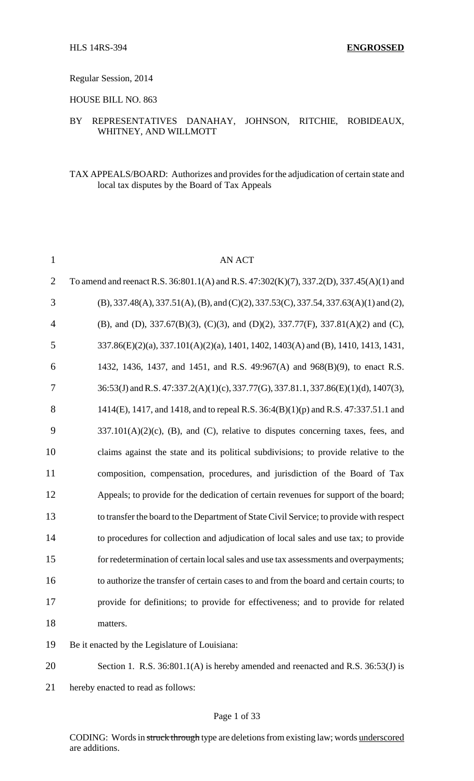### Regular Session, 2014

HOUSE BILL NO. 863

# BY REPRESENTATIVES DANAHAY, JOHNSON, RITCHIE, ROBIDEAUX, WHITNEY, AND WILLMOTT

# TAX APPEALS/BOARD: Authorizes and provides for the adjudication of certain state and local tax disputes by the Board of Tax Appeals

| $\mathbf{1}$   | <b>AN ACT</b>                                                                           |
|----------------|-----------------------------------------------------------------------------------------|
| $\overline{2}$ | To amend and reenact R.S. 36:801.1(A) and R.S. 47:302(K)(7), 337.2(D), 337.45(A)(1) and |
| 3              | $(B)$ , 337.48(A), 337.51(A), (B), and (C)(2), 337.53(C), 337.54, 337.63(A)(1) and (2), |
| $\overline{4}$ | (B), and (D), 337.67(B)(3), (C)(3), and (D)(2), 337.77(F), 337.81(A)(2) and (C),        |
| 5              | 337.86(E)(2)(a), 337.101(A)(2)(a), 1401, 1402, 1403(A) and (B), 1410, 1413, 1431,       |
| 6              | 1432, 1436, 1437, and 1451, and R.S. 49:967(A) and 968(B)(9), to enact R.S.             |
| 7              | 36:53(J) and R.S. 47:337.2(A)(1)(c), 337.77(G), 337.81.1, 337.86(E)(1)(d), 1407(3),     |
| 8              | 1414(E), 1417, and 1418, and to repeal R.S. 36:4(B)(1)(p) and R.S. 47:337.51.1 and      |
| 9              | $337.101(A)(2)(c)$ , (B), and (C), relative to disputes concerning taxes, fees, and     |
| 10             | claims against the state and its political subdivisions; to provide relative to the     |
| 11             | composition, compensation, procedures, and jurisdiction of the Board of Tax             |
| 12             | Appeals; to provide for the dedication of certain revenues for support of the board;    |
| 13             | to transfer the board to the Department of State Civil Service; to provide with respect |
| 14             | to procedures for collection and adjudication of local sales and use tax; to provide    |
| 15             | for redetermination of certain local sales and use tax assessments and overpayments;    |
| 16             | to authorize the transfer of certain cases to and from the board and certain courts; to |
| 17             | provide for definitions; to provide for effectiveness; and to provide for related       |
| 18             | matters.                                                                                |
| 19             | Be it enacted by the Legislature of Louisiana:                                          |
| 20             | Section 1. R.S. 36:801.1(A) is hereby amended and reenacted and R.S. 36:53(J) is        |

21 hereby enacted to read as follows: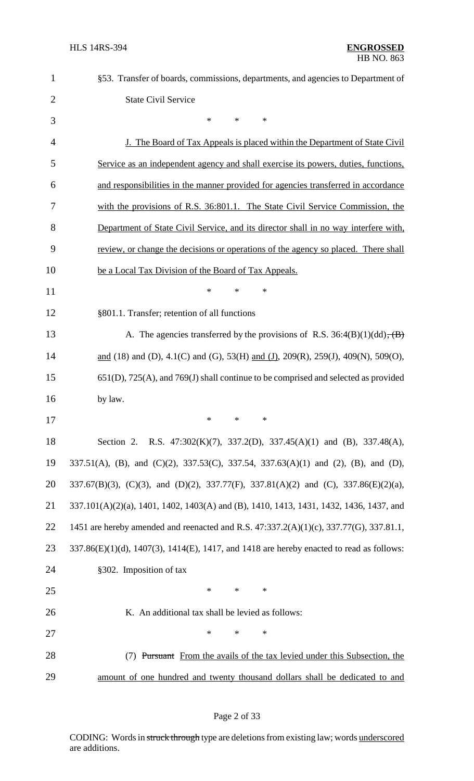| $\mathbf{1}$   | §53. Transfer of boards, commissions, departments, and agencies to Department of           |
|----------------|--------------------------------------------------------------------------------------------|
| $\overline{2}$ | <b>State Civil Service</b>                                                                 |
| 3              | *<br>*<br>$\ast$                                                                           |
| 4              | <u>J. The Board of Tax Appeals is placed within the Department of State Civil</u>          |
| 5              | Service as an independent agency and shall exercise its powers, duties, functions,         |
| 6              | and responsibilities in the manner provided for agencies transferred in accordance         |
| 7              | with the provisions of R.S. 36:801.1. The State Civil Service Commission, the              |
| 8              | Department of State Civil Service, and its director shall in no way interfere with,        |
| 9              | review, or change the decisions or operations of the agency so placed. There shall         |
| 10             | be a Local Tax Division of the Board of Tax Appeals.                                       |
| 11             | ∗<br>*<br>*                                                                                |
| 12             | §801.1. Transfer; retention of all functions                                               |
| 13             | A. The agencies transferred by the provisions of R.S. $36:4(B)(1)(dd)$ , $(B)$             |
| 14             | and (18) and (D), 4.1(C) and (G), 53(H) and (J), 209(R), 259(J), 409(N), 509(O),           |
| 15             | $651(D)$ , $725(A)$ , and $769(J)$ shall continue to be comprised and selected as provided |
| 16             | by law.                                                                                    |
| 17             | ∗<br>∗<br>$\ast$                                                                           |
| 18             | Section 2. R.S. 47:302(K)(7), 337.2(D), 337.45(A)(1) and (B), 337.48(A),                   |
| 19             | 337.51(A), (B), and (C)(2), 337.53(C), 337.54, 337.63(A)(1) and (2), (B), and (D),         |
| 20             | 337.67(B)(3), (C)(3), and (D)(2), 337.77(F), 337.81(A)(2) and (C), 337.86(E)(2)(a),        |
| 21             | 337.101(A)(2)(a), 1401, 1402, 1403(A) and (B), 1410, 1413, 1431, 1432, 1436, 1437, and     |
| 22             | 1451 are hereby amended and reenacted and R.S. 47:337.2(A)(1)(c), 337.77(G), 337.81.1,     |
| 23             | 337.86(E)(1)(d), 1407(3), 1414(E), 1417, and 1418 are hereby enacted to read as follows:   |
| 24             | §302. Imposition of tax                                                                    |
| 25             | $\ast$<br>$\ast$<br>$\ast$                                                                 |
| 26             | K. An additional tax shall be levied as follows:                                           |
| 27             | *<br>*<br>$\ast$                                                                           |
| 28             | (7) Pursuant From the avails of the tax levied under this Subsection, the                  |
| 29             | amount of one hundred and twenty thousand dollars shall be dedicated to and                |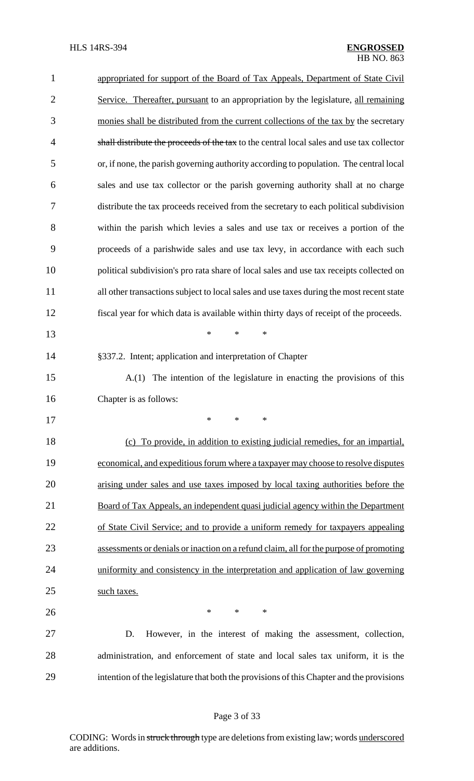| $\mathbf{1}$   | appropriated for support of the Board of Tax Appeals, Department of State Civil           |
|----------------|-------------------------------------------------------------------------------------------|
| $\overline{2}$ | Service. Thereafter, pursuant to an appropriation by the legislature, all remaining       |
| 3              | monies shall be distributed from the current collections of the tax by the secretary      |
| $\overline{4}$ | shall distribute the proceeds of the tax to the central local sales and use tax collector |
| 5              | or, if none, the parish governing authority according to population. The central local    |
| 6              | sales and use tax collector or the parish governing authority shall at no charge          |
| 7              | distribute the tax proceeds received from the secretary to each political subdivision     |
| 8              | within the parish which levies a sales and use tax or receives a portion of the           |
| 9              | proceeds of a parishwide sales and use tax levy, in accordance with each such             |
| 10             | political subdivision's pro rata share of local sales and use tax receipts collected on   |
| 11             | all other transactions subject to local sales and use taxes during the most recent state  |
| 12             | fiscal year for which data is available within thirty days of receipt of the proceeds.    |
| 13             | $\ast$<br>$\ast$<br>$\ast$                                                                |
| 14             | §337.2. Intent; application and interpretation of Chapter                                 |
| 15             | A.(1) The intention of the legislature in enacting the provisions of this                 |
| 16             | Chapter is as follows:                                                                    |
| 17             |                                                                                           |
| 18             | (c) To provide, in addition to existing judicial remedies, for an impartial,              |
| 19             | economical, and expeditious forum where a taxpayer may choose to resolve disputes         |
| 20             | arising under sales and use taxes imposed by local taxing authorities before the          |
| 21             | Board of Tax Appeals, an independent quasi judicial agency within the Department          |
| 22             | of State Civil Service; and to provide a uniform remedy for taxpayers appealing           |
| 23             | assessments or denials or inaction on a refund claim, all for the purpose of promoting    |
| 24             | uniformity and consistency in the interpretation and application of law governing         |
| 25             | such taxes.                                                                               |
| 26             | $\ast$<br>$*$<br>∗                                                                        |
| 27             | D.<br>However, in the interest of making the assessment, collection,                      |
| 28             | administration, and enforcement of state and local sales tax uniform, it is the           |
| 29             | intention of the legislature that both the provisions of this Chapter and the provisions  |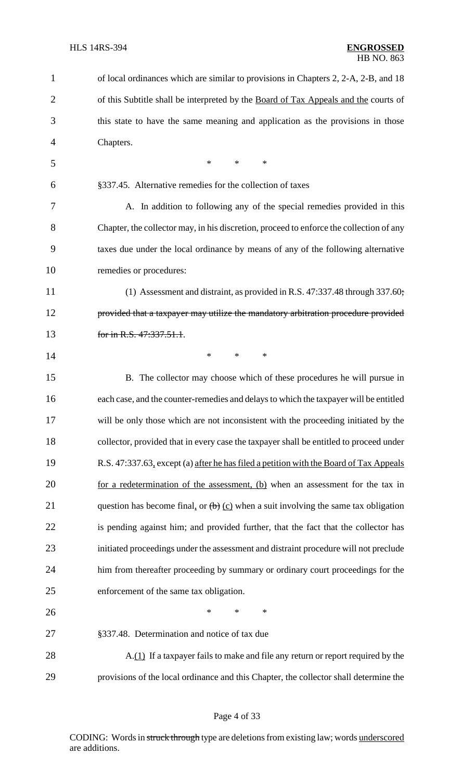| $\mathbf 1$    | of local ordinances which are similar to provisions in Chapters 2, 2-A, 2-B, and 18     |
|----------------|-----------------------------------------------------------------------------------------|
| $\overline{2}$ | of this Subtitle shall be interpreted by the Board of Tax Appeals and the courts of     |
| 3              | this state to have the same meaning and application as the provisions in those          |
| 4              | Chapters.                                                                               |
| 5              | $\ast$<br>$*$<br>$\ast$                                                                 |
| 6              | §337.45. Alternative remedies for the collection of taxes                               |
| 7              | A. In addition to following any of the special remedies provided in this                |
| 8              | Chapter, the collector may, in his discretion, proceed to enforce the collection of any |
| 9              | taxes due under the local ordinance by means of any of the following alternative        |
| 10             | remedies or procedures:                                                                 |
| 11             | (1) Assessment and distraint, as provided in R.S. $47:337.48$ through $337.60$ ;        |
| 12             | provided that a taxpayer may utilize the mandatory arbitration procedure provided       |
| 13             | for in R.S. 47:337.51.1.                                                                |
| 14             | $\ast$<br>$\ast$<br>$\ast$                                                              |
| 15             | B. The collector may choose which of these procedures he will pursue in                 |
| 16             | each case, and the counter-remedies and delays to which the taxpayer will be entitled   |
| 17             | will be only those which are not inconsistent with the proceeding initiated by the      |
| 18             | collector, provided that in every case the taxpayer shall be entitled to proceed under  |
| 19             | R.S. 47:337.63, except (a) after he has filed a petition with the Board of Tax Appeals  |
| 20             | for a redetermination of the assessment, $(b)$ when an assessment for the tax in        |
| 21             | question has become final, or $(b)$ (c) when a suit involving the same tax obligation   |
| 22             | is pending against him; and provided further, that the fact that the collector has      |
| 23             | initiated proceedings under the assessment and distraint procedure will not preclude    |
| 24             | him from thereafter proceeding by summary or ordinary court proceedings for the         |
| 25             | enforcement of the same tax obligation.                                                 |
| 26             | $\ast$<br>$\ast$<br>$\ast$                                                              |
| 27             | §337.48. Determination and notice of tax due                                            |
| 28             | A.(1) If a taxpayer fails to make and file any return or report required by the         |
| 29             | provisions of the local ordinance and this Chapter, the collector shall determine the   |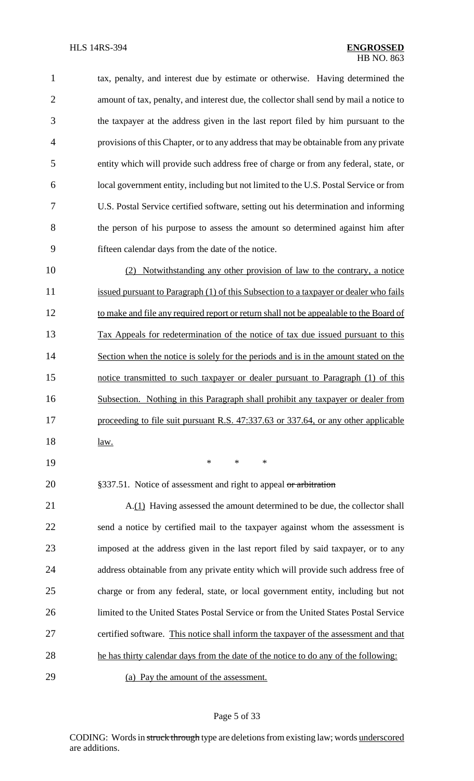tax, penalty, and interest due by estimate or otherwise. Having determined the amount of tax, penalty, and interest due, the collector shall send by mail a notice to the taxpayer at the address given in the last report filed by him pursuant to the provisions of this Chapter, or to any address that may be obtainable from any private entity which will provide such address free of charge or from any federal, state, or local government entity, including but not limited to the U.S. Postal Service or from U.S. Postal Service certified software, setting out his determination and informing the person of his purpose to assess the amount so determined against him after fifteen calendar days from the date of the notice.

 (2) Notwithstanding any other provision of law to the contrary, a notice 11 issued pursuant to Paragraph (1) of this Subsection to a taxpayer or dealer who fails 12 to make and file any required report or return shall not be appealable to the Board of Tax Appeals for redetermination of the notice of tax due issued pursuant to this 14 Section when the notice is solely for the periods and is in the amount stated on the notice transmitted to such taxpayer or dealer pursuant to Paragraph (1) of this Subsection. Nothing in this Paragraph shall prohibit any taxpayer or dealer from 17 proceeding to file suit pursuant R.S. 47:337.63 or 337.64, or any other applicable law.

\* \* \*

20 §337.51. Notice of assessment and right to appeal or arbitration

21 A.(1) Having assessed the amount determined to be due, the collector shall send a notice by certified mail to the taxpayer against whom the assessment is imposed at the address given in the last report filed by said taxpayer, or to any 24 address obtainable from any private entity which will provide such address free of charge or from any federal, state, or local government entity, including but not limited to the United States Postal Service or from the United States Postal Service certified software. This notice shall inform the taxpayer of the assessment and that he has thirty calendar days from the date of the notice to do any of the following:

(a) Pay the amount of the assessment.

### Page 5 of 33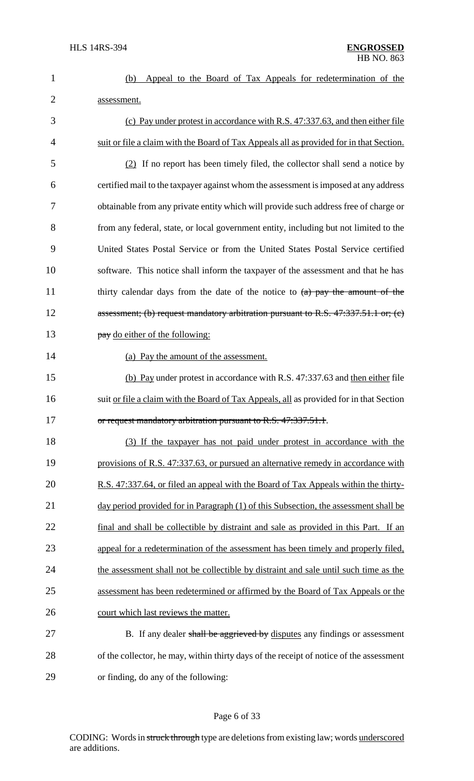|             |  |  |  | (b) Appeal to the Board of Tax Appeals for redetermination of the |  |
|-------------|--|--|--|-------------------------------------------------------------------|--|
| assessment. |  |  |  |                                                                   |  |

3 (c) Pay under protest in accordance with R.S. 47:337.63, and then either file 4 suit or file a claim with the Board of Tax Appeals all as provided for in that Section. 5 (2) If no report has been timely filed, the collector shall send a notice by 6 certified mail to the taxpayer against whom the assessment isimposed at any address 7 obtainable from any private entity which will provide such address free of charge or 8 from any federal, state, or local government entity, including but not limited to the 9 United States Postal Service or from the United States Postal Service certified 10 software. This notice shall inform the taxpayer of the assessment and that he has 11 thirty calendar days from the date of the notice to  $(a)$  pay the amount of the 12 assessment; (b) request mandatory arbitration pursuant to R.S. 47:337.51.1 or; (c) 13 **pay** do either of the following: 14 (a) Pay the amount of the assessment. 15 (b) Pay under protest in accordance with R.S. 47:337.63 and then either file 16 suit or file a claim with the Board of Tax Appeals, all as provided for in that Section 17 or request mandatory arbitration pursuant to R.S. 47:337.51.1. 18 (3) If the taxpayer has not paid under protest in accordance with the 19 provisions of R.S. 47:337.63, or pursued an alternative remedy in accordance with 20 R.S. 47:337.64, or filed an appeal with the Board of Tax Appeals within the thirty-21 day period provided for in Paragraph (1) of this Subsection, the assessment shall be 22 final and shall be collectible by distraint and sale as provided in this Part. If an 23 appeal for a redetermination of the assessment has been timely and properly filed, 24 the assessment shall not be collectible by distraint and sale until such time as the 25 assessment has been redetermined or affirmed by the Board of Tax Appeals or the 26 court which last reviews the matter. 27 B. If any dealer shall be aggrieved by disputes any findings or assessment

28 of the collector, he may, within thirty days of the receipt of notice of the assessment 29 or finding, do any of the following:

# Page 6 of 33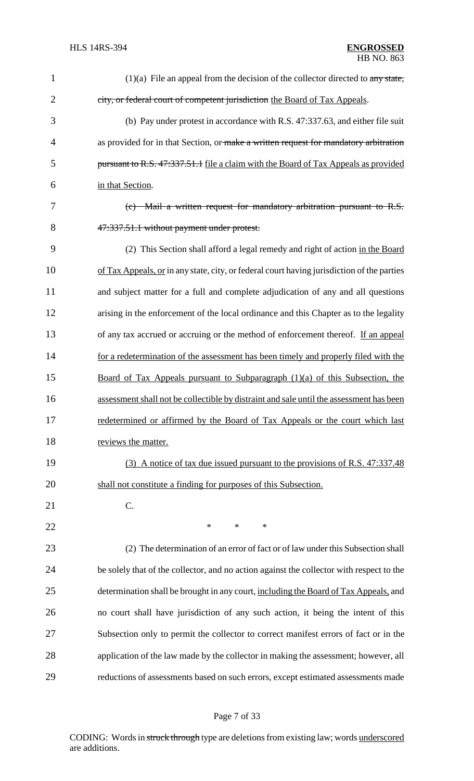| $\mathbf{1}$   | $(1)(a)$ File an appeal from the decision of the collector directed to any state,                |
|----------------|--------------------------------------------------------------------------------------------------|
| $\overline{2}$ | city, or federal court of competent jurisdiction the Board of Tax Appeals.                       |
| 3              | (b) Pay under protest in accordance with R.S. 47:337.63, and either file suit                    |
| 4              | as provided for in that Section, or make a written request for mandatory arbitration             |
| 5              | pursuant to R.S. 47:337.51.1 file a claim with the Board of Tax Appeals as provided              |
| 6              | in that Section.                                                                                 |
| 7              | Mail a written request for mandatory arbitration pursuant to R.S.<br>$\left( e\right)$           |
| 8              | 47:337.51.1 without payment under protest.                                                       |
| 9              | (2) This Section shall afford a legal remedy and right of action in the Board                    |
| 10             | of Tax Appeals, or in any state, city, or federal court having jurisdiction of the parties       |
| 11             | and subject matter for a full and complete adjudication of any and all questions                 |
| 12             | arising in the enforcement of the local ordinance and this Chapter as to the legality            |
| 13             | of any tax accrued or accruing or the method of enforcement thereof. If an appeal                |
| 14             | for a redetermination of the assessment has been timely and properly filed with the              |
| 15             | <u>Board of Tax Appeals pursuant to Subparagraph <math>(1)(a)</math> of this Subsection, the</u> |
| 16             | assessment shall not be collectible by distraint and sale until the assessment has been          |
| 17             | redetermined or affirmed by the Board of Tax Appeals or the court which last                     |
| 18             | reviews the matter.                                                                              |
| 19             | (3) A notice of tax due issued pursuant to the provisions of R.S. 47:337.48                      |
| 20             | shall not constitute a finding for purposes of this Subsection.                                  |
| 21             | C.                                                                                               |
| 22             | *<br>$\ast$<br>∗                                                                                 |
| 23             | (2) The determination of an error of fact or of law under this Subsection shall                  |
| 24             | be solely that of the collector, and no action against the collector with respect to the         |
| 25             | determination shall be brought in any court, including the Board of Tax Appeals, and             |
| 26             | no court shall have jurisdiction of any such action, it being the intent of this                 |
| 27             | Subsection only to permit the collector to correct manifest errors of fact or in the             |
| 28             | application of the law made by the collector in making the assessment; however, all              |
| 29             | reductions of assessments based on such errors, except estimated assessments made                |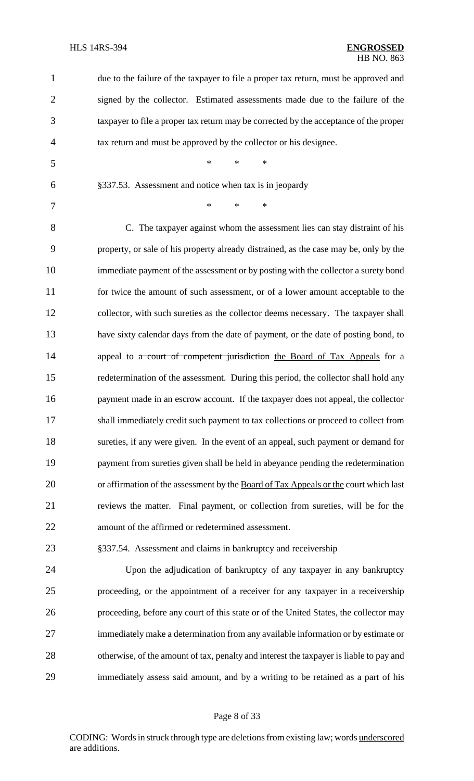| $\mathbf 1$    | due to the failure of the taxpayer to file a proper tax return, must be approved and    |
|----------------|-----------------------------------------------------------------------------------------|
| $\overline{2}$ | signed by the collector. Estimated assessments made due to the failure of the           |
| 3              | taxpayer to file a proper tax return may be corrected by the acceptance of the proper   |
| 4              | tax return and must be approved by the collector or his designee.                       |
| 5              | $\ast$<br>$\ast$<br>$\ast$                                                              |
| 6              | §337.53. Assessment and notice when tax is in jeopardy                                  |
| 7              | $\ast$<br>$\ast$<br>$\ast$                                                              |
| 8              | C. The taxpayer against whom the assessment lies can stay distraint of his              |
| 9              | property, or sale of his property already distrained, as the case may be, only by the   |
| 10             | immediate payment of the assessment or by posting with the collector a surety bond      |
| 11             | for twice the amount of such assessment, or of a lower amount acceptable to the         |
| 12             | collector, with such sureties as the collector deems necessary. The taxpayer shall      |
| 13             | have sixty calendar days from the date of payment, or the date of posting bond, to      |
| 14             | appeal to a court of competent jurisdiction the Board of Tax Appeals for a              |
| 15             | redetermination of the assessment. During this period, the collector shall hold any     |
| 16             | payment made in an escrow account. If the taxpayer does not appeal, the collector       |
| 17             | shall immediately credit such payment to tax collections or proceed to collect from     |
| 18             | sureties, if any were given. In the event of an appeal, such payment or demand for      |
| 19             | payment from sureties given shall be held in abeyance pending the redetermination       |
| 20             | or affirmation of the assessment by the Board of Tax Appeals or the court which last    |
| 21             | reviews the matter. Final payment, or collection from sureties, will be for the         |
| 22             | amount of the affirmed or redetermined assessment.                                      |
| 23             | §337.54. Assessment and claims in bankruptcy and receivership                           |
| 24             | Upon the adjudication of bankruptcy of any taxpayer in any bankruptcy                   |
| 25             | proceeding, or the appointment of a receiver for any taxpayer in a receivership         |
| 26             | proceeding, before any court of this state or of the United States, the collector may   |
| 27             | immediately make a determination from any available information or by estimate or       |
| 28             | otherwise, of the amount of tax, penalty and interest the taxpayer is liable to pay and |
| 29             | immediately assess said amount, and by a writing to be retained as a part of his        |

# Page 8 of 33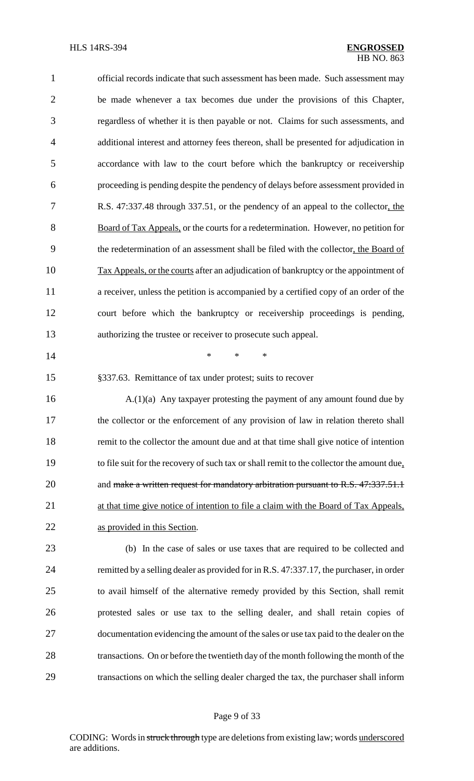| $\mathbf{1}$   | official records indicate that such assessment has been made. Such assessment may         |
|----------------|-------------------------------------------------------------------------------------------|
| $\overline{2}$ | be made whenever a tax becomes due under the provisions of this Chapter,                  |
| 3              | regardless of whether it is then payable or not. Claims for such assessments, and         |
| $\overline{4}$ | additional interest and attorney fees thereon, shall be presented for adjudication in     |
| 5              | accordance with law to the court before which the bankruptcy or receivership              |
| 6              | proceeding is pending despite the pendency of delays before assessment provided in        |
| 7              | R.S. 47:337.48 through 337.51, or the pendency of an appeal to the collector, the         |
| 8              | Board of Tax Appeals, or the courts for a redetermination. However, no petition for       |
| 9              | the redetermination of an assessment shall be filed with the collector, the Board of      |
| 10             | Tax Appeals, or the courts after an adjudication of bankruptcy or the appointment of      |
| 11             | a receiver, unless the petition is accompanied by a certified copy of an order of the     |
| 12             | court before which the bankruptcy or receivership proceedings is pending,                 |
| 13             | authorizing the trustee or receiver to prosecute such appeal.                             |
| 14             | *<br>$\ast$<br>$\ast$                                                                     |
| 15             | §337.63. Remittance of tax under protest; suits to recover                                |
| 16             | $A(1)(a)$ Any taxpayer protesting the payment of any amount found due by                  |
| 17             | the collector or the enforcement of any provision of law in relation thereto shall        |
| 18             | remit to the collector the amount due and at that time shall give notice of intention     |
| 19             | to file suit for the recovery of such tax or shall remit to the collector the amount due, |
| 20             | and make a written request for mandatory arbitration pursuant to R.S. 47:337.51.1         |
| 21             | at that time give notice of intention to file a claim with the Board of Tax Appeals,      |
| 22             | as provided in this Section.                                                              |
| 23             | (b) In the case of sales or use taxes that are required to be collected and               |
| 24             | remitted by a selling dealer as provided for in R.S. 47:337.17, the purchaser, in order   |
| 25             | to avail himself of the alternative remedy provided by this Section, shall remit          |
| 26             | protested sales or use tax to the selling dealer, and shall retain copies of              |
| 27             | documentation evidencing the amount of the sales or use tax paid to the dealer on the     |
| 28             | transactions. On or before the twentieth day of the month following the month of the      |
| 29             | transactions on which the selling dealer charged the tax, the purchaser shall inform      |
|                |                                                                                           |

# Page 9 of 33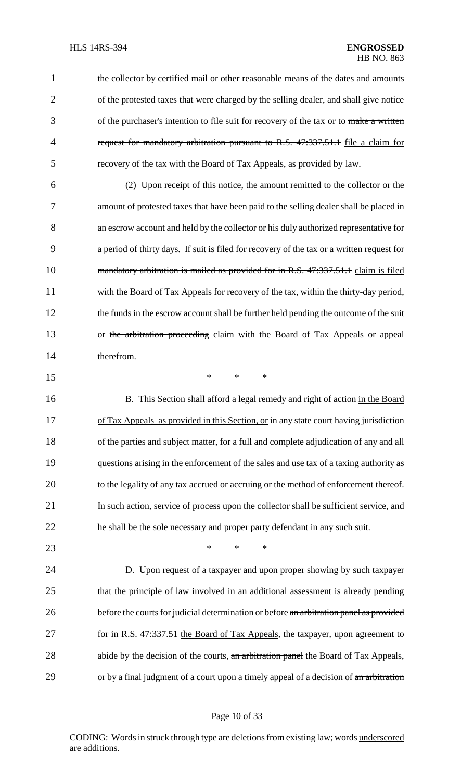1 the collector by certified mail or other reasonable means of the dates and amounts 2 of the protested taxes that were charged by the selling dealer, and shall give notice 3 of the purchaser's intention to file suit for recovery of the tax or to make a written 4 request for mandatory arbitration pursuant to R.S. 47:337.51.1 file a claim for 5 recovery of the tax with the Board of Tax Appeals, as provided by law.

6 (2) Upon receipt of this notice, the amount remitted to the collector or the 7 amount of protested taxes that have been paid to the selling dealer shall be placed in 8 an escrow account and held by the collector or his duly authorized representative for 9 a period of thirty days. If suit is filed for recovery of the tax or a written request for 10 mandatory arbitration is mailed as provided for in R.S. 47:337.51.1 claim is filed 11 with the Board of Tax Appeals for recovery of the tax, within the thirty-day period, 12 the funds in the escrow account shall be further held pending the outcome of the suit 13 or the arbitration proceeding claim with the Board of Tax Appeals or appeal 14 therefrom.

 $15$  \* \* \*

16 B. This Section shall afford a legal remedy and right of action in the Board 17 of Tax Appeals as provided in this Section, or in any state court having jurisdiction of the parties and subject matter, for a full and complete adjudication of any and all questions arising in the enforcement of the sales and use tax of a taxing authority as to the legality of any tax accrued or accruing or the method of enforcement thereof. In such action, service of process upon the collector shall be sufficient service, and he shall be the sole necessary and proper party defendant in any such suit.

23 **\*** \* \* \*

24 D. Upon request of a taxpayer and upon proper showing by such taxpayer 25 that the principle of law involved in an additional assessment is already pending 26 before the courts for judicial determination or before an arbitration panel as provided 27 for in R.S. 47:337.51 the Board of Tax Appeals, the taxpayer, upon agreement to 28 abide by the decision of the courts, an arbitration panel the Board of Tax Appeals, 29 or by a final judgment of a court upon a timely appeal of a decision of an arbitration

### Page 10 of 33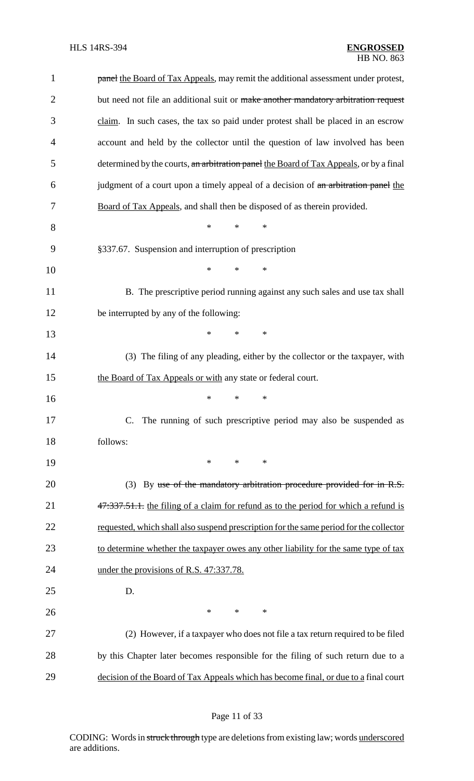| $\mathbf{1}$   | panel the Board of Tax Appeals, may remit the additional assessment under protest,     |
|----------------|----------------------------------------------------------------------------------------|
| $\overline{2}$ | but need not file an additional suit or make another mandatory arbitration request     |
| 3              | claim. In such cases, the tax so paid under protest shall be placed in an escrow       |
| 4              | account and held by the collector until the question of law involved has been          |
| 5              | determined by the courts, an arbitration panel the Board of Tax Appeals, or by a final |
| 6              | judgment of a court upon a timely appeal of a decision of an arbitration panel the     |
| 7              | Board of Tax Appeals, and shall then be disposed of as therein provided.               |
| 8              | $\ast$<br>$\ast$<br>$\ast$                                                             |
| 9              | §337.67. Suspension and interruption of prescription                                   |
| 10             | $\ast$<br>$\ast$<br>$\ast$                                                             |
| 11             | B. The prescriptive period running against any such sales and use tax shall            |
| 12             | be interrupted by any of the following:                                                |
| 13             | *<br>$\ast$<br>$\ast$                                                                  |
| 14             | (3) The filing of any pleading, either by the collector or the taxpayer, with          |
| 15             | the Board of Tax Appeals or with any state or federal court.                           |
| 16             | ∗<br>*<br>∗                                                                            |
| 17             | The running of such prescriptive period may also be suspended as                       |
| 18             | follows:                                                                               |
| 19             | $*$<br>$\ast$<br>$\ast$                                                                |
| 20             | (3) By use of the mandatory arbitration procedure provided for in R.S.                 |
| 21             | 47.337.51.1. the filing of a claim for refund as to the period for which a refund is   |
| 22             | requested, which shall also suspend prescription for the same period for the collector |
| 23             | to determine whether the taxpayer owes any other liability for the same type of tax    |
| 24             | under the provisions of R.S. 47:337.78.                                                |
| 25             | D.                                                                                     |
| 26             | $*$<br>$\ast$<br>$\ast$                                                                |
| 27             | (2) However, if a taxpayer who does not file a tax return required to be filed         |
| 28             | by this Chapter later becomes responsible for the filing of such return due to a       |
| 29             | decision of the Board of Tax Appeals which has become final, or due to a final court   |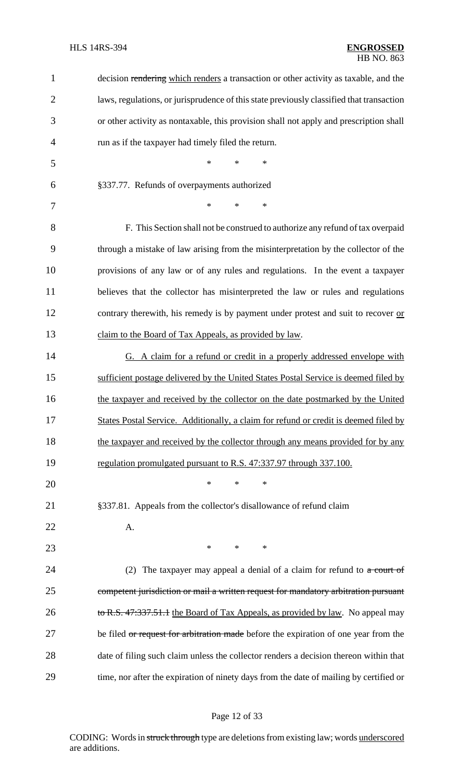| $\mathbf{1}$   | decision rendering which renders a transaction or other activity as taxable, and the     |
|----------------|------------------------------------------------------------------------------------------|
| $\overline{2}$ | laws, regulations, or jurisprudence of this state previously classified that transaction |
| 3              | or other activity as nontaxable, this provision shall not apply and prescription shall   |
| $\overline{4}$ | run as if the taxpayer had timely filed the return.                                      |
| 5              | $\ast$<br>$\ast$<br>$\ast$                                                               |
| 6              | §337.77. Refunds of overpayments authorized                                              |
| 7              | $\ast$<br>$\ast$<br>∗                                                                    |
| 8              | F. This Section shall not be construed to authorize any refund of tax overpaid           |
| 9              | through a mistake of law arising from the misinterpretation by the collector of the      |
| 10             | provisions of any law or of any rules and regulations. In the event a taxpayer           |
| 11             | believes that the collector has misinterpreted the law or rules and regulations          |
| 12             | contrary therewith, his remedy is by payment under protest and suit to recover or        |
| 13             | claim to the Board of Tax Appeals, as provided by law.                                   |
| 14             | G. A claim for a refund or credit in a properly addressed envelope with                  |
| 15             | sufficient postage delivered by the United States Postal Service is deemed filed by      |
| 16             | the taxpayer and received by the collector on the date postmarked by the United          |
| 17             | States Postal Service. Additionally, a claim for refund or credit is deemed filed by     |
| 18             | the taxpayer and received by the collector through any means provided for by any         |
| 19             | regulation promulgated pursuant to R.S. 47:337.97 through 337.100.                       |
| 20             | $\ast$<br>$\ast$<br>∗                                                                    |
| 21             | §337.81. Appeals from the collector's disallowance of refund claim                       |
| 22             | A.                                                                                       |
| 23             | $*$ and $*$<br>$\ast$<br>$\ast$                                                          |
| 24             | The taxpayer may appeal a denial of a claim for refund to $\alpha$ court of<br>(2)       |
| 25             | competent jurisdiction or mail a written request for mandatory arbitration pursuant      |
| 26             | to R.S. 47:337.51.1 the Board of Tax Appeals, as provided by law. No appeal may          |
| 27             | be filed or request for arbitration made before the expiration of one year from the      |
| 28             | date of filing such claim unless the collector renders a decision thereon within that    |
| 29             | time, nor after the expiration of ninety days from the date of mailing by certified or   |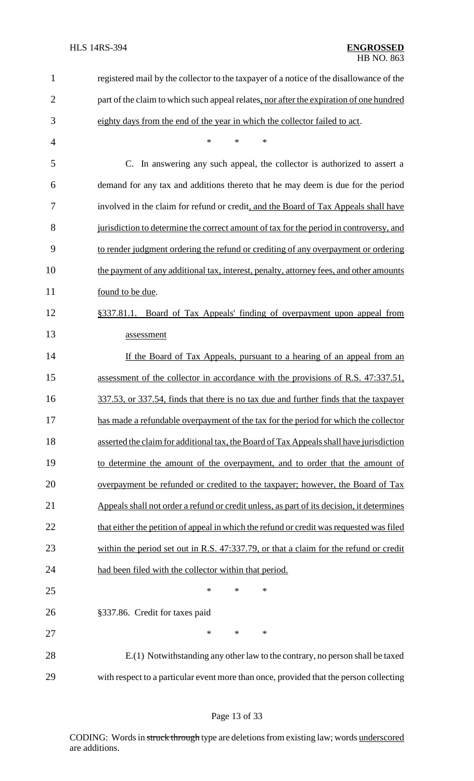| $\mathbf 1$    | registered mail by the collector to the taxpayer of a notice of the disallowance of the   |
|----------------|-------------------------------------------------------------------------------------------|
| $\overline{2}$ | part of the claim to which such appeal relates, nor after the expiration of one hundred   |
| 3              | eighty days from the end of the year in which the collector failed to act.                |
| 4              | $\ast$<br>$\ast$<br>∗                                                                     |
| 5              | In answering any such appeal, the collector is authorized to assert a<br>C.               |
| 6              | demand for any tax and additions thereto that he may deem is due for the period           |
| 7              | involved in the claim for refund or credit, and the Board of Tax Appeals shall have       |
| 8              | jurisdiction to determine the correct amount of tax for the period in controversy, and    |
| 9              | to render judgment ordering the refund or crediting of any overpayment or ordering        |
| 10             | the payment of any additional tax, interest, penalty, attorney fees, and other amounts    |
| 11             | found to be due.                                                                          |
| 12             | §337.81.1. Board of Tax Appeals' finding of overpayment upon appeal from                  |
| 13             | assessment                                                                                |
| 14             | If the Board of Tax Appeals, pursuant to a hearing of an appeal from an                   |
| 15             | assessment of the collector in accordance with the provisions of R.S. 47:337.51,          |
| 16             | 337.53, or 337.54, finds that there is no tax due and further finds that the taxpayer     |
| 17             | has made a refundable overpayment of the tax for the period for which the collector       |
| 18             | asserted the claim for additional tax, the Board of Tax Appeals shall have jurisdiction   |
| 19             | to determine the amount of the overpayment, and to order that the amount of               |
| 20             | overpayment be refunded or credited to the taxpayer; however, the Board of Tax            |
| 21             | Appeals shall not order a refund or credit unless, as part of its decision, it determines |
| 22             | that either the petition of appeal in which the refund or credit was requested was filed  |
| 23             | within the period set out in R.S. 47:337.79, or that a claim for the refund or credit     |
| 24             | had been filed with the collector within that period.                                     |
| 25             | $\ast$<br>∗<br>∗                                                                          |
| 26             | §337.86. Credit for taxes paid                                                            |
| 27             | $\ast$<br>$\ast$<br>∗                                                                     |
| 28             | E.(1) Notwithstanding any other law to the contrary, no person shall be taxed             |
| 29             | with respect to a particular event more than once, provided that the person collecting    |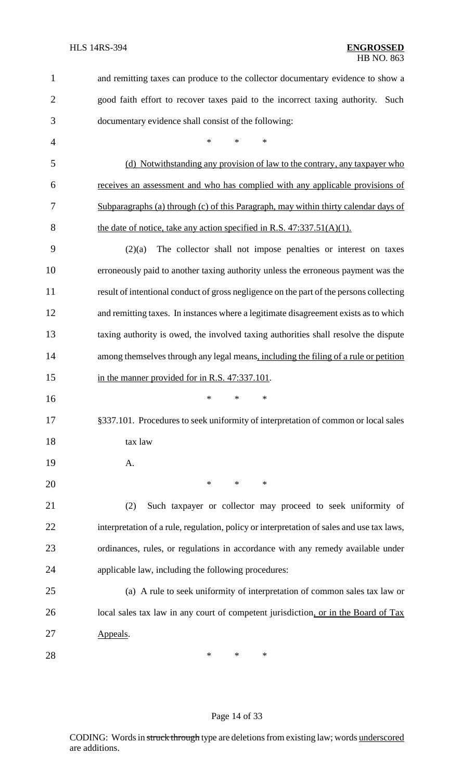| 1              | and remitting taxes can produce to the collector documentary evidence to show a           |
|----------------|-------------------------------------------------------------------------------------------|
| $\overline{2}$ | good faith effort to recover taxes paid to the incorrect taxing authority.<br>Such        |
| 3              | documentary evidence shall consist of the following:                                      |
| 4              | $\ast$<br>*<br>*                                                                          |
| 5              | (d) Notwithstanding any provision of law to the contrary, any taxpayer who                |
| 6              | receives an assessment and who has complied with any applicable provisions of             |
| 7              | Subparagraphs (a) through (c) of this Paragraph, may within thirty calendar days of       |
| 8              | the date of notice, take any action specified in R.S. $47:337.51(A)(1)$ .                 |
| 9              | The collector shall not impose penalties or interest on taxes<br>(2)(a)                   |
| 10             | erroneously paid to another taxing authority unless the erroneous payment was the         |
| 11             | result of intentional conduct of gross negligence on the part of the persons collecting   |
| 12             | and remitting taxes. In instances where a legitimate disagreement exists as to which      |
| 13             | taxing authority is owed, the involved taxing authorities shall resolve the dispute       |
| 14             | among themselves through any legal means, including the filing of a rule or petition      |
| 15             | in the manner provided for in R.S. 47:337.101.                                            |
| 16             | $\ast$<br>$\ast$<br>∗                                                                     |
| 17             | §337.101. Procedures to seek uniformity of interpretation of common or local sales        |
| 18             | tax law                                                                                   |
| 19             | A.                                                                                        |
| 20             | $\ast$<br>$\ast$<br>$\ast$                                                                |
| 21             | Such taxpayer or collector may proceed to seek uniformity of<br>(2)                       |
| 22             | interpretation of a rule, regulation, policy or interpretation of sales and use tax laws, |
| 23             | ordinances, rules, or regulations in accordance with any remedy available under           |
| 24             | applicable law, including the following procedures:                                       |
| 25             | (a) A rule to seek uniformity of interpretation of common sales tax law or                |
| 26             | local sales tax law in any court of competent jurisdiction, or in the Board of Tax        |
| 27             | Appeals.                                                                                  |
| 28             | $\ast$<br>∗<br>∗                                                                          |

# Page 14 of 33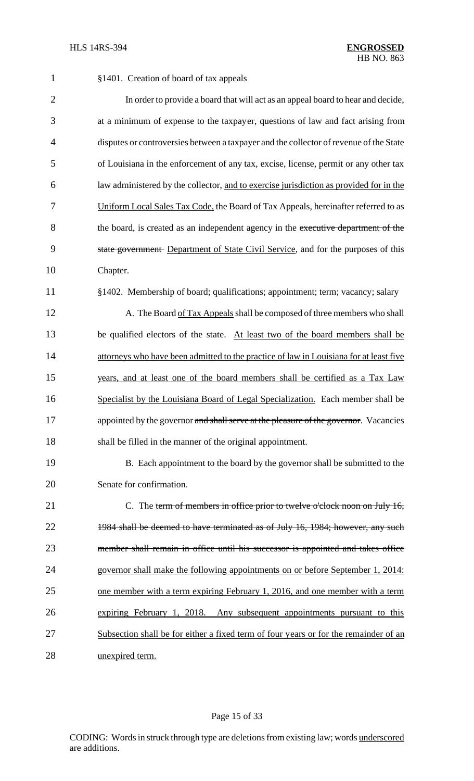| $\mathbf{1}$   | §1401. Creation of board of tax appeals                                                |
|----------------|----------------------------------------------------------------------------------------|
| $\overline{2}$ | In order to provide a board that will act as an appeal board to hear and decide,       |
| 3              | at a minimum of expense to the taxpayer, questions of law and fact arising from        |
| $\overline{4}$ | disputes or controversies between a taxpayer and the collector of revenue of the State |
| 5              | of Louisiana in the enforcement of any tax, excise, license, permit or any other tax   |
| 6              | law administered by the collector, and to exercise jurisdiction as provided for in the |
| 7              | Uniform Local Sales Tax Code, the Board of Tax Appeals, hereinafter referred to as     |
| 8              | the board, is created as an independent agency in the executive department of the      |
| 9              | state government Department of State Civil Service, and for the purposes of this       |
| 10             | Chapter.                                                                               |
| 11             | §1402. Membership of board; qualifications; appointment; term; vacancy; salary         |
| 12             | A. The Board of Tax Appeals shall be composed of three members who shall               |
| 13             | be qualified electors of the state. At least two of the board members shall be         |
| 14             | attorneys who have been admitted to the practice of law in Louisiana for at least five |
| 15             | years, and at least one of the board members shall be certified as a Tax Law           |
| 16             | Specialist by the Louisiana Board of Legal Specialization. Each member shall be        |
| 17             | appointed by the governor and shall serve at the pleasure of the governor. Vacancies   |
| 18             | shall be filled in the manner of the original appointment.                             |
| 19             | B. Each appointment to the board by the governor shall be submitted to the             |
| 20             | Senate for confirmation.                                                               |
| 21             | C. The term of members in office prior to twelve o'clock noon on July 16,              |
| 22             | 1984 shall be deemed to have terminated as of July 16, 1984; however, any such         |
| 23             | member shall remain in office until his successor is appointed and takes office        |
| 24             | governor shall make the following appointments on or before September 1, 2014:         |
| 25             | one member with a term expiring February 1, 2016, and one member with a term           |
| 26             | expiring February 1, 2018. Any subsequent appointments pursuant to this                |
| 27             | Subsection shall be for either a fixed term of four years or for the remainder of an   |
| 28             | unexpired term.                                                                        |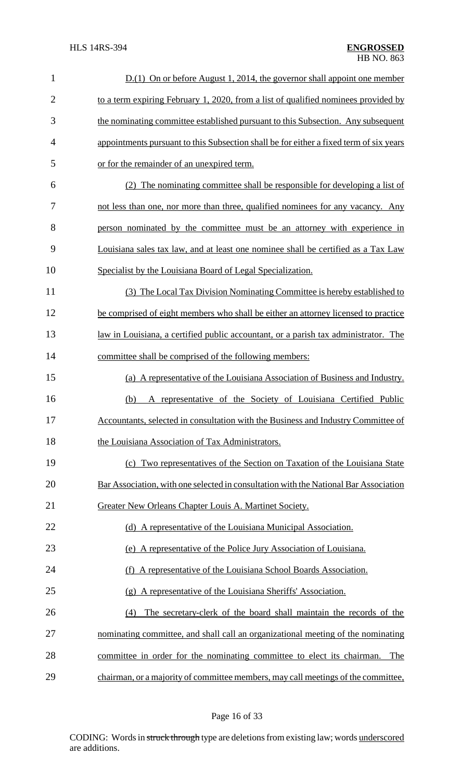| $\mathbf{1}$   | $D(1)$ On or before August 1, 2014, the governor shall appoint one member              |
|----------------|----------------------------------------------------------------------------------------|
| $\overline{2}$ | to a term expiring February 1, 2020, from a list of qualified nominees provided by     |
| 3              | the nominating committee established pursuant to this Subsection. Any subsequent       |
| 4              | appointments pursuant to this Subsection shall be for either a fixed term of six years |
| 5              | or for the remainder of an unexpired term.                                             |
| 6              | (2) The nominating committee shall be responsible for developing a list of             |
| 7              | not less than one, nor more than three, qualified nominees for any vacancy. Any        |
| 8              | person nominated by the committee must be an attorney with experience in               |
| 9              | Louisiana sales tax law, and at least one nominee shall be certified as a Tax Law      |
| 10             | Specialist by the Louisiana Board of Legal Specialization.                             |
| 11             | (3) The Local Tax Division Nominating Committee is hereby established to               |
| 12             | be comprised of eight members who shall be either an attorney licensed to practice     |
| 13             | law in Louisiana, a certified public accountant, or a parish tax administrator. The    |
| 14             | committee shall be comprised of the following members:                                 |
| 15             | (a) A representative of the Louisiana Association of Business and Industry.            |
| 16             | A representative of the Society of Louisiana Certified Public<br>(b)                   |
| 17             | Accountants, selected in consultation with the Business and Industry Committee of      |
| 18             | the Louisiana Association of Tax Administrators.                                       |
| 19             | (c) Two representatives of the Section on Taxation of the Louisiana State              |
| 20             | Bar Association, with one selected in consultation with the National Bar Association   |
| 21             | Greater New Orleans Chapter Louis A. Martinet Society.                                 |
| 22             | (d) A representative of the Louisiana Municipal Association.                           |
| 23             | (e) A representative of the Police Jury Association of Louisiana.                      |
| 24             | (f) A representative of the Louisiana School Boards Association.                       |
| 25             | (g) A representative of the Louisiana Sheriffs' Association.                           |
| 26             | The secretary-clerk of the board shall maintain the records of the<br>(4)              |
| 27             | nominating committee, and shall call an organizational meeting of the nominating       |
| 28             | committee in order for the nominating committee to elect its chairman.<br>The          |
| 29             | chairman, or a majority of committee members, may call meetings of the committee,      |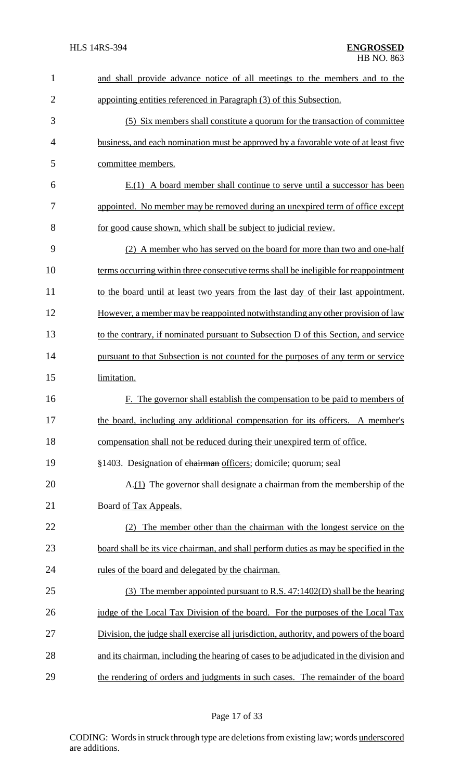| $\mathbf{1}$   | and shall provide advance notice of all meetings to the members and to the              |
|----------------|-----------------------------------------------------------------------------------------|
| $\overline{2}$ | appointing entities referenced in Paragraph (3) of this Subsection.                     |
| 3              | (5) Six members shall constitute a quorum for the transaction of committee              |
| 4              | business, and each nomination must be approved by a favorable vote of at least five     |
| 5              | committee members.                                                                      |
| 6              | $E(1)$ A board member shall continue to serve until a successor has been                |
| 7              | appointed. No member may be removed during an unexpired term of office except           |
| 8              | for good cause shown, which shall be subject to judicial review.                        |
| 9              | (2) A member who has served on the board for more than two and one-half                 |
| 10             | terms occurring within three consecutive terms shall be ineligible for reappointment    |
| 11             | to the board until at least two years from the last day of their last appointment.      |
| 12             | However, a member may be reappointed notwithstanding any other provision of law         |
| 13             | to the contrary, if nominated pursuant to Subsection D of this Section, and service     |
| 14             | pursuant to that Subsection is not counted for the purposes of any term or service      |
| 15             | limitation.                                                                             |
| 16             | F. The governor shall establish the compensation to be paid to members of               |
| 17             | the board, including any additional compensation for its officers. A member's           |
| 18             | compensation shall not be reduced during their unexpired term of office.                |
| 19             | §1403. Designation of chairman officers; domicile; quorum; seal                         |
| 20             | A.(1) The governor shall designate a chairman from the membership of the                |
| 21             | Board of Tax Appeals.                                                                   |
| 22             | The member other than the chairman with the longest service on the<br>(2)               |
| 23             | board shall be its vice chairman, and shall perform duties as may be specified in the   |
| 24             | rules of the board and delegated by the chairman.                                       |
| 25             | (3) The member appointed pursuant to R.S. 47:1402(D) shall be the hearing               |
| 26             | judge of the Local Tax Division of the board. For the purposes of the Local Tax         |
| 27             | Division, the judge shall exercise all jurisdiction, authority, and powers of the board |
| 28             | and its chairman, including the hearing of cases to be adjudicated in the division and  |
| 29             | the rendering of orders and judgments in such cases. The remainder of the board         |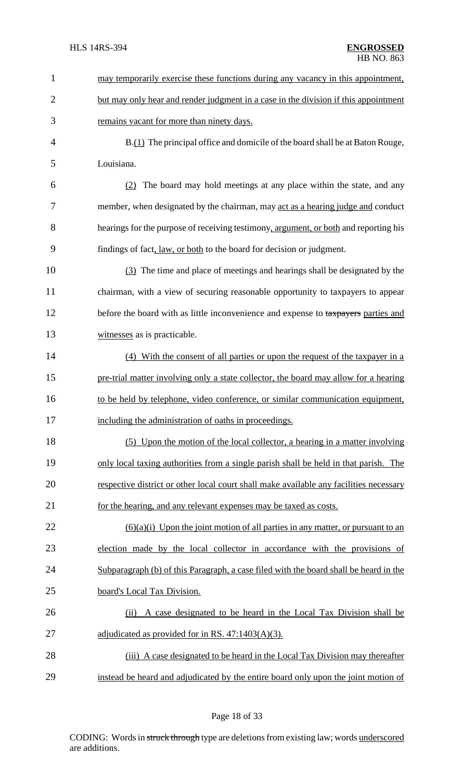| $\mathbf{1}$   | may temporarily exercise these functions during any vacancy in this appointment,       |
|----------------|----------------------------------------------------------------------------------------|
| $\overline{2}$ | but may only hear and render judgment in a case in the division if this appointment    |
| 3              | remains vacant for more than ninety days.                                              |
| 4              | B.(1) The principal office and domicile of the board shall be at Baton Rouge,          |
| 5              | Louisiana.                                                                             |
| 6              | The board may hold meetings at any place within the state, and any<br>(2)              |
| 7              | member, when designated by the chairman, may act as a hearing judge and conduct        |
| 8              | hearings for the purpose of receiving testimony, argument, or both and reporting his   |
| 9              | findings of fact, law, or both to the board for decision or judgment.                  |
| 10             | (3) The time and place of meetings and hearings shall be designated by the             |
| 11             | chairman, with a view of securing reasonable opportunity to taxpayers to appear        |
| 12             | before the board with as little inconvenience and expense to taxpayers parties and     |
| 13             | witnesses as is practicable.                                                           |
| 14             | (4) With the consent of all parties or upon the request of the taxpayer in a           |
| 15             | pre-trial matter involving only a state collector, the board may allow for a hearing   |
| 16             | to be held by telephone, video conference, or similar communication equipment,         |
| 17             | including the administration of oaths in proceedings.                                  |
| 18             | (5) Upon the motion of the local collector, a hearing in a matter involving            |
| 19             | only local taxing authorities from a single parish shall be held in that parish. The   |
| 20             | respective district or other local court shall make available any facilities necessary |
| 21             | for the hearing, and any relevant expenses may be taxed as costs.                      |
| 22             | $(6)(a)(i)$ Upon the joint motion of all parties in any matter, or pursuant to an      |
| 23             | election made by the local collector in accordance with the provisions of              |
| 24             | Subparagraph (b) of this Paragraph, a case filed with the board shall be heard in the  |
| 25             | board's Local Tax Division.                                                            |
| 26             | A case designated to be heard in the Local Tax Division shall be<br>(ii)               |
| 27             | adjudicated as provided for in RS. $47:1403(A)(3)$ .                                   |
| 28             | (iii) A case designated to be heard in the Local Tax Division may thereafter           |
| 29             | instead be heard and adjudicated by the entire board only upon the joint motion of     |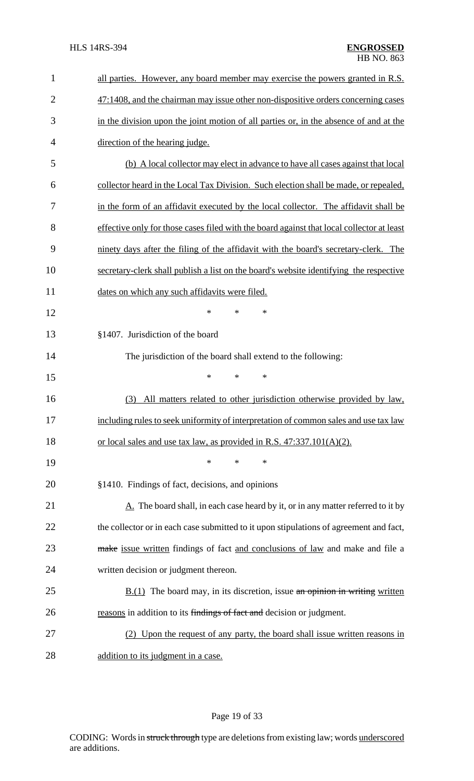| $\mathbf{1}$   | all parties. However, any board member may exercise the powers granted in R.S.            |
|----------------|-------------------------------------------------------------------------------------------|
| $\overline{2}$ | 47:1408, and the chairman may issue other non-dispositive orders concerning cases         |
| 3              | in the division upon the joint motion of all parties or, in the absence of and at the     |
| $\overline{4}$ | direction of the hearing judge.                                                           |
| 5              | (b) A local collector may elect in advance to have all cases against that local           |
| 6              | collector heard in the Local Tax Division. Such election shall be made, or repealed,      |
| 7              | in the form of an affidavit executed by the local collector. The affidavit shall be       |
| 8              | effective only for those cases filed with the board against that local collector at least |
| 9              | ninety days after the filing of the affidavit with the board's secretary-clerk. The       |
| 10             | secretary-clerk shall publish a list on the board's website identifying the respective    |
| 11             | dates on which any such affidavits were filed.                                            |
| 12             | *<br>$\ast$<br>∗                                                                          |
| 13             | §1407. Jurisdiction of the board                                                          |
| 14             | The jurisdiction of the board shall extend to the following:                              |
| 15             | $\ast$<br>*<br>$\ast$                                                                     |
| 16             | All matters related to other jurisdiction otherwise provided by law,<br>(3)               |
| 17             | including rules to seek uniformity of interpretation of common sales and use tax law      |
| 18             | or local sales and use tax law, as provided in R.S. $47:337.101(A)(2)$ .                  |
| 19             | $\ast$<br>*<br>*                                                                          |
| 20             | §1410. Findings of fact, decisions, and opinions                                          |
| 21             | $A$ . The board shall, in each case heard by it, or in any matter referred to it by       |
| 22             | the collector or in each case submitted to it upon stipulations of agreement and fact,    |
| 23             | make issue written findings of fact and conclusions of law and make and file a            |
| 24             | written decision or judgment thereon.                                                     |
| 25             | $\underline{B.(1)}$ The board may, in its discretion, issue an opinion in writing written |
| 26             | reasons in addition to its findings of fact and decision or judgment.                     |
| 27             | (2) Upon the request of any party, the board shall issue written reasons in               |
| 28             | addition to its judgment in a case.                                                       |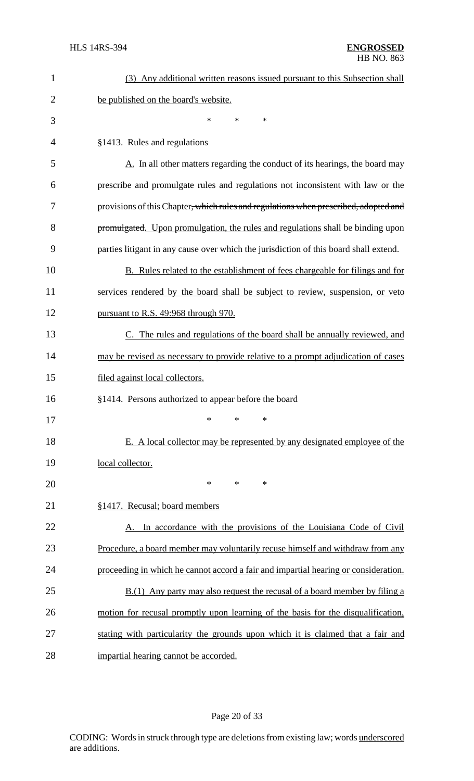| $\mathbf{1}$   | (3) Any additional written reasons issued pursuant to this Subsection shall           |
|----------------|---------------------------------------------------------------------------------------|
| $\overline{2}$ | be published on the board's website.                                                  |
| 3              | *<br>$\ast$<br>*                                                                      |
| $\overline{4}$ | §1413. Rules and regulations                                                          |
| 5              | A. In all other matters regarding the conduct of its hearings, the board may          |
| 6              | prescribe and promulgate rules and regulations not inconsistent with law or the       |
| 7              | provisions of this Chapter, which rules and regulations when prescribed, adopted and  |
| 8              | promulgated. Upon promulgation, the rules and regulations shall be binding upon       |
| 9              | parties litigant in any cause over which the jurisdiction of this board shall extend. |
| 10             | B. Rules related to the establishment of fees chargeable for filings and for          |
| 11             | services rendered by the board shall be subject to review, suspension, or veto        |
| 12             | pursuant to R.S. 49:968 through 970.                                                  |
| 13             | C. The rules and regulations of the board shall be annually reviewed, and             |
| 14             | may be revised as necessary to provide relative to a prompt adjudication of cases     |
| 15             | filed against local collectors.                                                       |
| 16             | §1414. Persons authorized to appear before the board                                  |
| 17             | ∗<br>∗<br>∗                                                                           |
| 18             | E. A local collector may be represented by any designated employee of the             |
| 19             | local collector.                                                                      |
| 20             | $\ast$<br>*<br>$\ast$                                                                 |
| 21             | §1417. Recusal; board members                                                         |
| 22             | A. In accordance with the provisions of the Louisiana Code of Civil                   |
| 23             | Procedure, a board member may voluntarily recuse himself and withdraw from any        |
| 24             | proceeding in which he cannot accord a fair and impartial hearing or consideration.   |
| 25             | B.(1) Any party may also request the recusal of a board member by filing a            |
| 26             | motion for recusal promptly upon learning of the basis for the disqualification,      |
| 27             | stating with particularity the grounds upon which it is claimed that a fair and       |
| 28             | impartial hearing cannot be accorded.                                                 |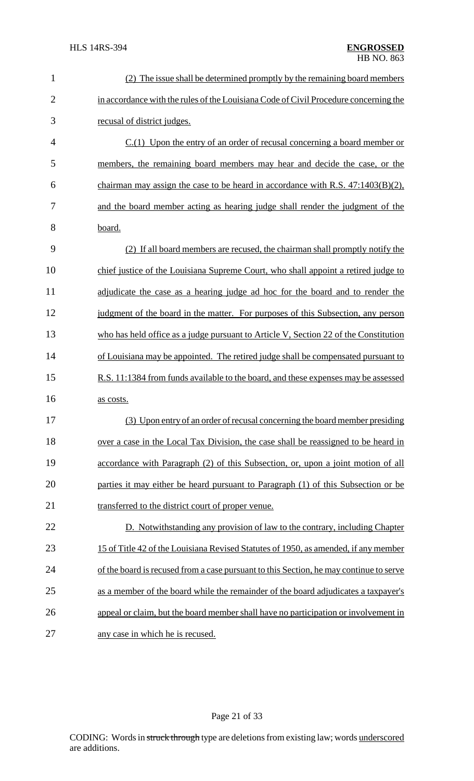| $\mathbf{1}$   | (2) The issue shall be determined promptly by the remaining board members              |
|----------------|----------------------------------------------------------------------------------------|
| $\overline{2}$ | in accordance with the rules of the Louisiana Code of Civil Procedure concerning the   |
| 3              | recusal of district judges.                                                            |
| $\overline{4}$ | $C(1)$ Upon the entry of an order of recusal concerning a board member or              |
| 5              | members, the remaining board members may hear and decide the case, or the              |
| 6              | chairman may assign the case to be heard in accordance with R.S. $47:1403(B)(2)$ ,     |
| 7              | and the board member acting as hearing judge shall render the judgment of the          |
| 8              | board.                                                                                 |
| 9              | (2) If all board members are recused, the chairman shall promptly notify the           |
| 10             | chief justice of the Louisiana Supreme Court, who shall appoint a retired judge to     |
| 11             | adjudicate the case as a hearing judge ad hoc for the board and to render the          |
| 12             | judgment of the board in the matter. For purposes of this Subsection, any person       |
| 13             | who has held office as a judge pursuant to Article V, Section 22 of the Constitution   |
| 14             | of Louisiana may be appointed. The retired judge shall be compensated pursuant to      |
| 15             | R.S. 11:1384 from funds available to the board, and these expenses may be assessed     |
| 16             | as costs.                                                                              |
| 17             | (3) Upon entry of an order of recusal concerning the board member presiding            |
| 18             | over a case in the Local Tax Division, the case shall be reassigned to be heard in     |
| 19             | accordance with Paragraph (2) of this Subsection, or, upon a joint motion of all       |
| 20             | parties it may either be heard pursuant to Paragraph (1) of this Subsection or be      |
| 21             | transferred to the district court of proper venue.                                     |
| 22             | D. Notwithstanding any provision of law to the contrary, including Chapter             |
| 23             | 15 of Title 42 of the Louisiana Revised Statutes of 1950, as amended, if any member    |
| 24             | of the board is recused from a case pursuant to this Section, he may continue to serve |
| 25             | as a member of the board while the remainder of the board adjudicates a taxpayer's     |
| 26             | appeal or claim, but the board member shall have no participation or involvement in    |
| 27             | any case in which he is recused.                                                       |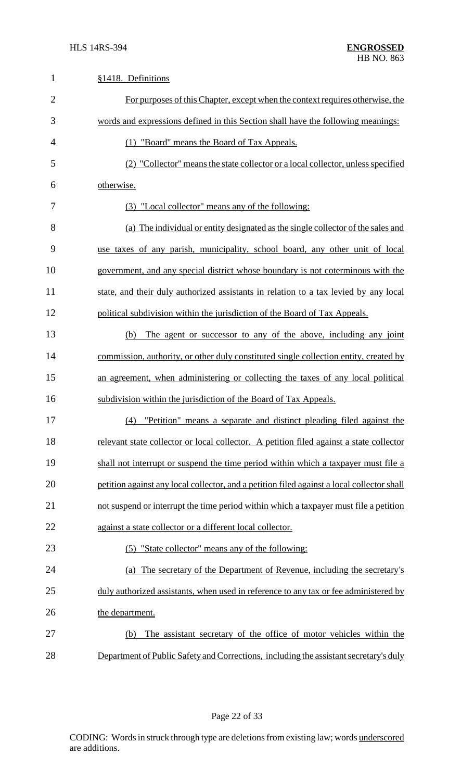| $\mathbf{1}$   | §1418. Definitions                                                                         |
|----------------|--------------------------------------------------------------------------------------------|
| $\overline{2}$ | For purposes of this Chapter, except when the context requires otherwise, the              |
| 3              | words and expressions defined in this Section shall have the following meanings:           |
| 4              | (1) "Board" means the Board of Tax Appeals.                                                |
| 5              | (2) "Collector" means the state collector or a local collector, unless specified           |
| 6              | otherwise.                                                                                 |
| 7              | (3) "Local collector" means any of the following:                                          |
| 8              | (a) The individual or entity designated as the single collector of the sales and           |
| 9              | use taxes of any parish, municipality, school board, any other unit of local               |
| 10             | government, and any special district whose boundary is not coterminous with the            |
| 11             | state, and their duly authorized assistants in relation to a tax levied by any local       |
| 12             | political subdivision within the jurisdiction of the Board of Tax Appeals.                 |
| 13             | The agent or successor to any of the above, including any joint<br>(b)                     |
| 14             | commission, authority, or other duly constituted single collection entity, created by      |
| 15             | an agreement, when administering or collecting the taxes of any local political            |
| 16             | subdivision within the jurisdiction of the Board of Tax Appeals.                           |
| 17             | (4) "Petition" means a separate and distinct pleading filed against the                    |
| 18             | relevant state collector or local collector. A petition filed against a state collector    |
| 19             | shall not interrupt or suspend the time period within which a taxpayer must file a         |
| 20             | petition against any local collector, and a petition filed against a local collector shall |
| 21             | not suspend or interrupt the time period within which a taxpayer must file a petition      |
| 22             | against a state collector or a different local collector.                                  |
| 23             | (5) "State collector" means any of the following:                                          |
| 24             | (a) The secretary of the Department of Revenue, including the secretary's                  |
| 25             | duly authorized assistants, when used in reference to any tax or fee administered by       |
| 26             | the department.                                                                            |
| 27             | The assistant secretary of the office of motor vehicles within the<br>(b)                  |
| 28             | Department of Public Safety and Corrections, including the assistant secretary's duly      |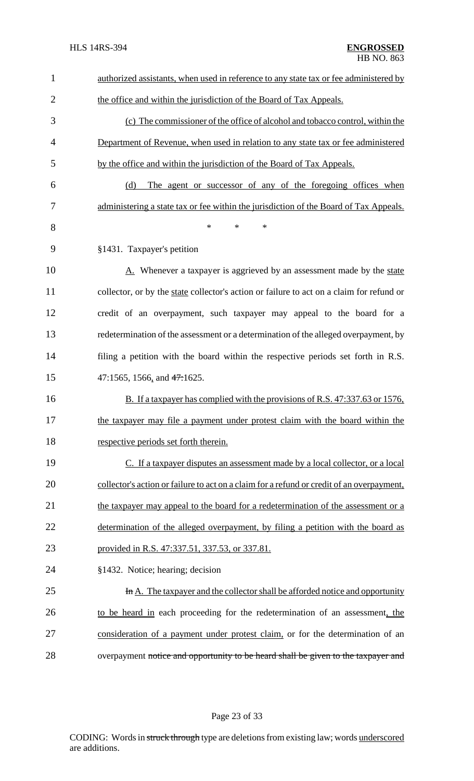| $\mathbf{1}$   | authorized assistants, when used in reference to any state tax or fee administered by     |
|----------------|-------------------------------------------------------------------------------------------|
| $\overline{2}$ | the office and within the jurisdiction of the Board of Tax Appeals.                       |
| 3              | (c) The commissioner of the office of alcohol and tobacco control, within the             |
| 4              | Department of Revenue, when used in relation to any state tax or fee administered         |
| 5              | by the office and within the jurisdiction of the Board of Tax Appeals.                    |
| 6              | (d)<br>The agent or successor of any of the foregoing offices when                        |
| 7              | administering a state tax or fee within the jurisdiction of the Board of Tax Appeals.     |
| 8              | $\ast$<br>*<br>$\ast$                                                                     |
| 9              | §1431. Taxpayer's petition                                                                |
| 10             | A. Whenever a taxpayer is aggrieved by an assessment made by the state                    |
| 11             | collector, or by the state collector's action or failure to act on a claim for refund or  |
| 12             | credit of an overpayment, such taxpayer may appeal to the board for a                     |
| 13             | redetermination of the assessment or a determination of the alleged overpayment, by       |
| 14             | filing a petition with the board within the respective periods set forth in R.S.          |
| 15             | 47:1565, 1566, and $47:1625$ .                                                            |
| 16             | B. If a taxpayer has complied with the provisions of R.S. 47:337.63 or 1576,              |
| 17             | the taxpayer may file a payment under protest claim with the board within the             |
| 18             | respective periods set forth therein.                                                     |
| 19             | C. If a taxpayer disputes an assessment made by a local collector, or a local             |
| 20             | collector's action or failure to act on a claim for a refund or credit of an overpayment, |
| 21             | the taxpayer may appeal to the board for a redetermination of the assessment or a         |
| 22             | determination of the alleged overpayment, by filing a petition with the board as          |
| 23             | provided in R.S. 47:337.51, 337.53, or 337.81.                                            |
| 24             | §1432. Notice; hearing; decision                                                          |
| 25             | In A. The taxpayer and the collector shall be afforded notice and opportunity             |
| 26             | to be heard in each proceeding for the redetermination of an assessment, the              |
| 27             | consideration of a payment under protest claim, or for the determination of an            |
| 28             | overpayment notice and opportunity to be heard shall be given to the taxpayer and         |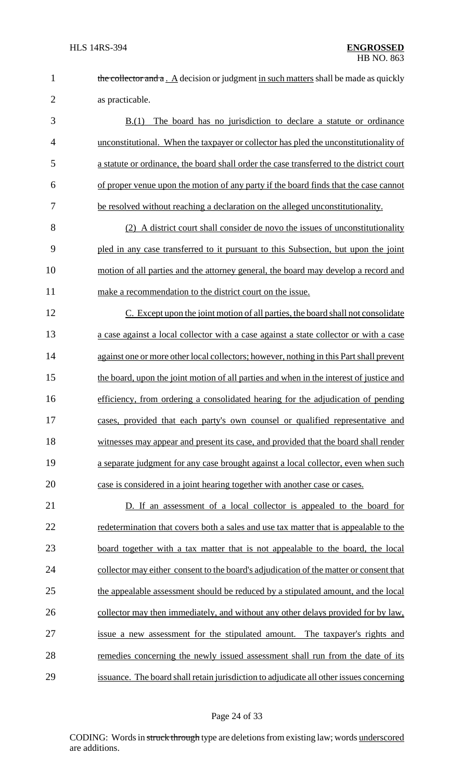| the collector and $a \cdot A$ decision or judgment in such matters shall be made as quickly |
|---------------------------------------------------------------------------------------------|
| as practicable.                                                                             |

 B.(1) The board has no jurisdiction to declare a statute or ordinance unconstitutional. When the taxpayer or collector has pled the unconstitutionality of a statute or ordinance, the board shall order the case transferred to the district court of proper venue upon the motion of any party if the board finds that the case cannot 7 be resolved without reaching a declaration on the alleged unconstitutionality.

 (2) A district court shall consider de novo the issues of unconstitutionality pled in any case transferred to it pursuant to this Subsection, but upon the joint motion of all parties and the attorney general, the board may develop a record and make a recommendation to the district court on the issue.

 C. Except upon the joint motion of all parties, the board shall not consolidate a case against a local collector with a case against a state collector or with a case 14 against one or more other local collectors; however, nothing in this Part shall prevent 15 the board, upon the joint motion of all parties and when in the interest of justice and efficiency, from ordering a consolidated hearing for the adjudication of pending cases, provided that each party's own counsel or qualified representative and witnesses may appear and present its case, and provided that the board shall render a separate judgment for any case brought against a local collector, even when such case is considered in a joint hearing together with another case or cases.

21 D. If an assessment of a local collector is appealed to the board for 22 redetermination that covers both a sales and use tax matter that is appealable to the 23 board together with a tax matter that is not appealable to the board, the local 24 collector may either consent to the board's adjudication of the matter or consent that the appealable assessment should be reduced by a stipulated amount, and the local collector may then immediately, and without any other delays provided for by law, issue a new assessment for the stipulated amount. The taxpayer's rights and remedies concerning the newly issued assessment shall run from the date of its issuance. The board shall retain jurisdiction to adjudicate all other issues concerning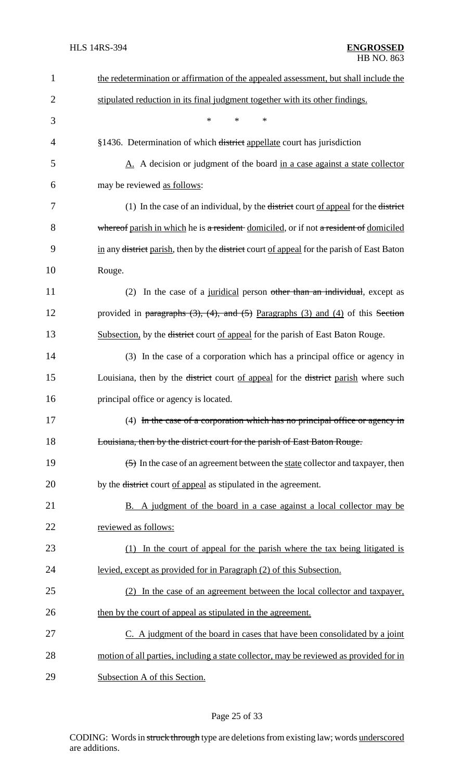| $\mathbf{1}$   | the redetermination or affirmation of the appealed assessment, but shall include the                            |
|----------------|-----------------------------------------------------------------------------------------------------------------|
| $\overline{2}$ | stipulated reduction in its final judgment together with its other findings.                                    |
| 3              | $\ast$<br>*<br>$\ast$                                                                                           |
| 4              | §1436. Determination of which district appellate court has jurisdiction                                         |
| 5              | A. A decision or judgment of the board in a case against a state collector                                      |
| 6              | may be reviewed as follows:                                                                                     |
| 7              | (1) In the case of an individual, by the <del>district</del> court of appeal for the district                   |
| 8              | whereof parish in which he is a resident domiciled, or if not a resident of domiciled                           |
| 9              | in any <del>district</del> parish, then by the <del>district</del> court of appeal for the parish of East Baton |
| 10             | Rouge.                                                                                                          |
| 11             | In the case of a juridical person other than an individual, except as<br>(2)                                    |
| 12             | provided in paragraphs $(3)$ , $(4)$ , and $(5)$ Paragraphs $(3)$ and $(4)$ of this Section                     |
| 13             | Subsection, by the <del>district</del> court of appeal for the parish of East Baton Rouge.                      |
| 14             | (3) In the case of a corporation which has a principal office or agency in                                      |
| 15             | Louisiana, then by the <del>district</del> court of appeal for the <del>district</del> parish where such        |
| 16             | principal office or agency is located.                                                                          |
| 17             | (4) In the case of a corporation which has no principal office or agency in                                     |
| 18             | Louisiana, then by the district court for the parish of East Baton Rouge.                                       |
| 19             | (5) In the case of an agreement between the state collector and taxpayer, then                                  |
| 20             | by the <del>district</del> court of appeal as stipulated in the agreement.                                      |
| 21             | B. A judgment of the board in a case against a local collector may be                                           |
| 22             | reviewed as follows:                                                                                            |
| 23             | In the court of appeal for the parish where the tax being litigated is<br>(1)                                   |
| 24             | levied, except as provided for in Paragraph (2) of this Subsection.                                             |
| 25             | (2) In the case of an agreement between the local collector and taxpayer,                                       |
| 26             | then by the court of appeal as stipulated in the agreement.                                                     |
| 27             | C. A judgment of the board in cases that have been consolidated by a joint                                      |
| 28             | motion of all parties, including a state collector, may be reviewed as provided for in                          |
| 29             | Subsection A of this Section.                                                                                   |

# Page 25 of 33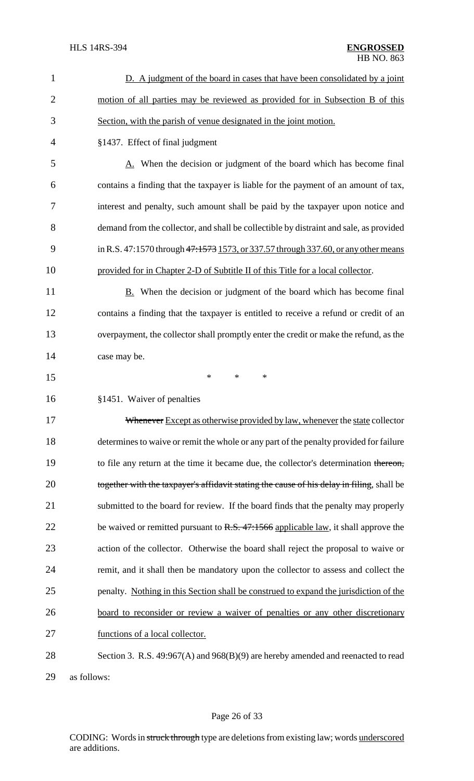| 1              | D. A judgment of the board in cases that have been consolidated by a joint                |
|----------------|-------------------------------------------------------------------------------------------|
| $\overline{2}$ | motion of all parties may be reviewed as provided for in Subsection B of this             |
| 3              | Section, with the parish of venue designated in the joint motion.                         |
| 4              | §1437. Effect of final judgment                                                           |
| 5              | A. When the decision or judgment of the board which has become final                      |
| 6              | contains a finding that the taxpayer is liable for the payment of an amount of tax,       |
| 7              | interest and penalty, such amount shall be paid by the taxpayer upon notice and           |
| 8              | demand from the collector, and shall be collectible by distraint and sale, as provided    |
| 9              | in R.S. 47:1570 through 47:1573 1573, or 337.57 through 337.60, or any other means        |
| 10             | provided for in Chapter 2-D of Subtitle II of this Title for a local collector.           |
| 11             | <b>B.</b> When the decision or judgment of the board which has become final               |
| 12             | contains a finding that the taxpayer is entitled to receive a refund or credit of an      |
| 13             | overpayment, the collector shall promptly enter the credit or make the refund, as the     |
| 14             | case may be.                                                                              |
| 15             | $\ast$<br>*<br>*                                                                          |
| 16             | §1451. Waiver of penalties                                                                |
| 17             | Whenever Except as otherwise provided by law, whenever the state collector                |
| 18             | determines to waive or remit the whole or any part of the penalty provided for failure    |
| 19             | to file any return at the time it became due, the collector's determination thereon,      |
| 20             | together with the taxpayer's affidavit stating the cause of his delay in filing, shall be |
| 21             | submitted to the board for review. If the board finds that the penalty may properly       |
| 22             | be waived or remitted pursuant to $R.S. 47:1566$ applicable law, it shall approve the     |
| 23             | action of the collector. Otherwise the board shall reject the proposal to waive or        |
| 24             | remit, and it shall then be mandatory upon the collector to assess and collect the        |
| 25             | penalty. Nothing in this Section shall be construed to expand the jurisdiction of the     |
| 26             | board to reconsider or review a waiver of penalties or any other discretionary            |
| 27             | functions of a local collector.                                                           |
| 28             | Section 3. R.S. 49:967(A) and 968(B)(9) are hereby amended and reenacted to read          |
|                |                                                                                           |

29 as follows: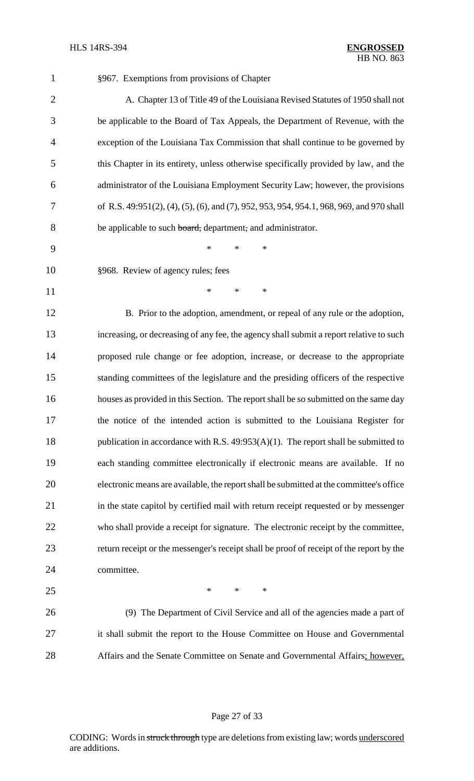| $\mathbf{1}$   | §967. Exemptions from provisions of Chapter                                              |
|----------------|------------------------------------------------------------------------------------------|
| $\overline{2}$ | A. Chapter 13 of Title 49 of the Louisiana Revised Statutes of 1950 shall not            |
| 3              | be applicable to the Board of Tax Appeals, the Department of Revenue, with the           |
| 4              | exception of the Louisiana Tax Commission that shall continue to be governed by          |
| 5              | this Chapter in its entirety, unless otherwise specifically provided by law, and the     |
| 6              | administrator of the Louisiana Employment Security Law; however, the provisions          |
| 7              | of R.S. 49:951(2), (4), (5), (6), and (7), 952, 953, 954, 954.1, 968, 969, and 970 shall |
| 8              | be applicable to such board, department, and administrator.                              |
| 9              | $\ast$<br>$\ast$<br>∗                                                                    |
| 10             | §968. Review of agency rules; fees                                                       |
| 11             | $\ast$<br>$\ast$<br>∗                                                                    |
| 12             | B. Prior to the adoption, amendment, or repeal of any rule or the adoption,              |
| 13             | increasing, or decreasing of any fee, the agency shall submit a report relative to such  |
| 14             | proposed rule change or fee adoption, increase, or decrease to the appropriate           |
| 15             | standing committees of the legislature and the presiding officers of the respective      |
| 16             | houses as provided in this Section. The report shall be so submitted on the same day     |
| 17             | the notice of the intended action is submitted to the Louisiana Register for             |
| 18             | publication in accordance with R.S. $49:953(A)(1)$ . The report shall be submitted to    |
| 19             | each standing committee electronically if electronic means are available. If no          |
| 20             | electronic means are available, the report shall be submitted at the committee's office  |
| 21             | in the state capitol by certified mail with return receipt requested or by messenger     |
| 22             | who shall provide a receipt for signature. The electronic receipt by the committee,      |
| 23             | return receipt or the messenger's receipt shall be proof of receipt of the report by the |
| 24             | committee.                                                                               |
| 25             | $\ast$<br>$\ast$<br>$\ast$                                                               |
| 26             | (9) The Department of Civil Service and all of the agencies made a part of               |
| 27             | it shall submit the report to the House Committee on House and Governmental              |
| 28             | Affairs and the Senate Committee on Senate and Governmental Affairs; however,            |
|                |                                                                                          |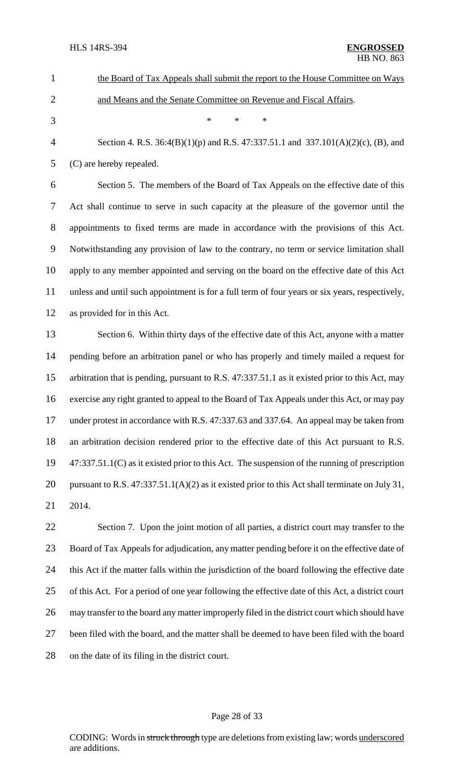| $\mathbf{1}$   | the Board of Tax Appeals shall submit the report to the House Committee on Ways                  |
|----------------|--------------------------------------------------------------------------------------------------|
| $\mathfrak{2}$ | and Means and the Senate Committee on Revenue and Fiscal Affairs.                                |
| 3              | $\ast$<br>$\ast$<br>$\ast$                                                                       |
| $\overline{4}$ | Section 4. R.S. $36:4(B)(1)(p)$ and R.S. $47:337.51.1$ and $337.101(A)(2)(c)$ , (B), and         |
| 5              | (C) are hereby repealed.                                                                         |
| 6              | Section 5. The members of the Board of Tax Appeals on the effective date of this                 |
| 7              | Act shall continue to serve in such capacity at the pleasure of the governor until the           |
| $8\,$          | appointments to fixed terms are made in accordance with the provisions of this Act.              |
| 9              | Notwithstanding any provision of law to the contrary, no term or service limitation shall        |
| 10             | apply to any member appointed and serving on the board on the effective date of this Act         |
| 11             | unless and until such appointment is for a full term of four years or six years, respectively,   |
| 12             | as provided for in this Act.                                                                     |
| 13             | Section 6. Within thirty days of the effective date of this Act, anyone with a matter            |
| 14             | pending before an arbitration panel or who has properly and timely mailed a request for          |
| 15             | arbitration that is pending, pursuant to R.S. 47:337.51.1 as it existed prior to this Act, may   |
| 16             | exercise any right granted to appeal to the Board of Tax Appeals under this Act, or may pay      |
| 17             | under protest in accordance with R.S. 47:337.63 and 337.64. An appeal may be taken from          |
| 18             | an arbitration decision rendered prior to the effective date of this Act pursuant to R.S.        |
| 19             | $47:337.51.1(C)$ as it existed prior to this Act. The suspension of the running of prescription  |
| 20             | pursuant to R.S. $47:337.51.1(A)(2)$ as it existed prior to this Act shall terminate on July 31, |
| 21             | 2014.                                                                                            |
| 22             | Section 7. Upon the joint motion of all parties, a district court may transfer to the            |
| 23             | Board of Tax Appeals for adjudication, any matter pending before it on the effective date of     |
| 24             | this Act if the matter falls within the jurisdiction of the board following the effective date   |
| 25             | of this Act. For a period of one year following the effective date of this Act, a district court |
| 26             | may transfer to the board any matter improperly filed in the district court which should have    |
|                |                                                                                                  |

 been filed with the board, and the matter shall be deemed to have been filed with the board on the date of its filing in the district court.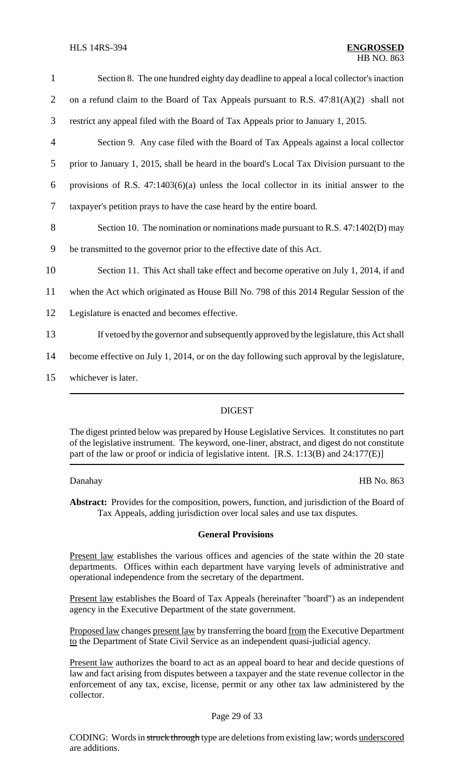| $\mathbf{1}$   | Section 8. The one hundred eighty day deadline to appeal a local collector's inaction       |
|----------------|---------------------------------------------------------------------------------------------|
| $\overline{2}$ | on a refund claim to the Board of Tax Appeals pursuant to R.S. $47:81(A)(2)$ shall not      |
| 3              | restrict any appeal filed with the Board of Tax Appeals prior to January 1, 2015.           |
| $\overline{4}$ | Section 9. Any case filed with the Board of Tax Appeals against a local collector           |
| 5              | prior to January 1, 2015, shall be heard in the board's Local Tax Division pursuant to the  |
| 6              | provisions of R.S. $47:1403(6)(a)$ unless the local collector in its initial answer to the  |
| 7              | taxpayer's petition prays to have the case heard by the entire board.                       |
| 8              | Section 10. The nomination or nominations made pursuant to R.S. 47:1402(D) may              |
| 9              | be transmitted to the governor prior to the effective date of this Act.                     |
| 10             | Section 11. This Act shall take effect and become operative on July 1, 2014, if and         |
| 11             | when the Act which originated as House Bill No. 798 of this 2014 Regular Session of the     |
| 12             | Legislature is enacted and becomes effective.                                               |
| 13             | If vetoed by the governor and subsequently approved by the legislature, this Act shall      |
| 14             | become effective on July 1, 2014, or on the day following such approval by the legislature, |
| 15             | whichever is later.                                                                         |

# DIGEST

The digest printed below was prepared by House Legislative Services. It constitutes no part of the legislative instrument. The keyword, one-liner, abstract, and digest do not constitute part of the law or proof or indicia of legislative intent. [R.S. 1:13(B) and 24:177(E)]

Danahay HB No. 863

**Abstract:** Provides for the composition, powers, function, and jurisdiction of the Board of Tax Appeals, adding jurisdiction over local sales and use tax disputes.

### **General Provisions**

Present law establishes the various offices and agencies of the state within the 20 state departments. Offices within each department have varying levels of administrative and operational independence from the secretary of the department.

Present law establishes the Board of Tax Appeals (hereinafter "board") as an independent agency in the Executive Department of the state government.

Proposed law changes present law by transferring the board from the Executive Department to the Department of State Civil Service as an independent quasi-judicial agency.

Present law authorizes the board to act as an appeal board to hear and decide questions of law and fact arising from disputes between a taxpayer and the state revenue collector in the enforcement of any tax, excise, license, permit or any other tax law administered by the collector.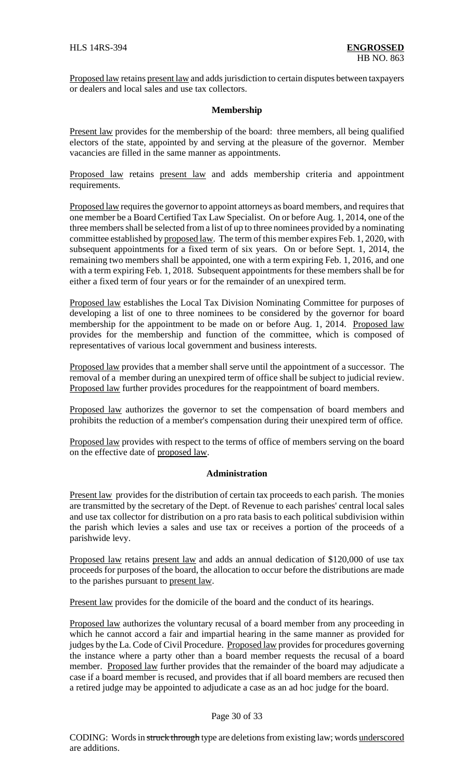Proposed law retains present law and adds jurisdiction to certain disputes between taxpayers or dealers and local sales and use tax collectors.

# **Membership**

Present law provides for the membership of the board: three members, all being qualified electors of the state, appointed by and serving at the pleasure of the governor. Member vacancies are filled in the same manner as appointments.

Proposed law retains present law and adds membership criteria and appointment requirements.

Proposed law requires the governor to appoint attorneys as board members, and requires that one member be a Board Certified Tax Law Specialist. On or before Aug. 1, 2014, one of the three membersshall be selected from a list of up to three nominees provided by a nominating committee established by proposed law. The term of this member expires Feb. 1, 2020, with subsequent appointments for a fixed term of six years. On or before Sept. 1, 2014, the remaining two members shall be appointed, one with a term expiring Feb. 1, 2016, and one with a term expiring Feb. 1, 2018. Subsequent appointments for these members shall be for either a fixed term of four years or for the remainder of an unexpired term.

Proposed law establishes the Local Tax Division Nominating Committee for purposes of developing a list of one to three nominees to be considered by the governor for board membership for the appointment to be made on or before Aug. 1, 2014. Proposed law provides for the membership and function of the committee, which is composed of representatives of various local government and business interests.

Proposed law provides that a member shall serve until the appointment of a successor. The removal of a member during an unexpired term of office shall be subject to judicial review. Proposed law further provides procedures for the reappointment of board members.

Proposed law authorizes the governor to set the compensation of board members and prohibits the reduction of a member's compensation during their unexpired term of office.

Proposed law provides with respect to the terms of office of members serving on the board on the effective date of proposed law.

# **Administration**

Present law provides for the distribution of certain tax proceeds to each parish. The monies are transmitted by the secretary of the Dept. of Revenue to each parishes' central local sales and use tax collector for distribution on a pro rata basis to each political subdivision within the parish which levies a sales and use tax or receives a portion of the proceeds of a parishwide levy.

Proposed law retains present law and adds an annual dedication of \$120,000 of use tax proceeds for purposes of the board, the allocation to occur before the distributions are made to the parishes pursuant to present law.

Present law provides for the domicile of the board and the conduct of its hearings.

Proposed law authorizes the voluntary recusal of a board member from any proceeding in which he cannot accord a fair and impartial hearing in the same manner as provided for judges by the La. Code of Civil Procedure. Proposed law provides for procedures governing the instance where a party other than a board member requests the recusal of a board member. Proposed law further provides that the remainder of the board may adjudicate a case if a board member is recused, and provides that if all board members are recused then a retired judge may be appointed to adjudicate a case as an ad hoc judge for the board.

# Page 30 of 33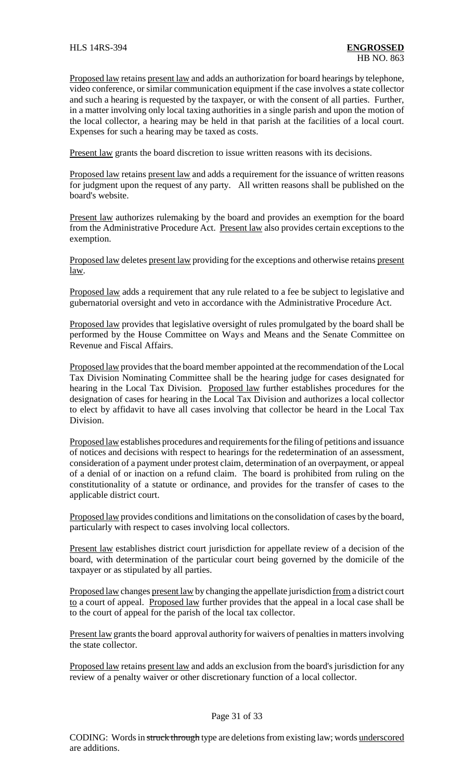Proposed law retains present law and adds an authorization for board hearings by telephone, video conference, or similar communication equipment if the case involves a state collector and such a hearing is requested by the taxpayer, or with the consent of all parties. Further, in a matter involving only local taxing authorities in a single parish and upon the motion of the local collector, a hearing may be held in that parish at the facilities of a local court. Expenses for such a hearing may be taxed as costs.

Present law grants the board discretion to issue written reasons with its decisions.

Proposed law retains present law and adds a requirement for the issuance of written reasons for judgment upon the request of any party. All written reasons shall be published on the board's website.

Present law authorizes rulemaking by the board and provides an exemption for the board from the Administrative Procedure Act. Present law also provides certain exceptions to the exemption.

Proposed law deletes present law providing for the exceptions and otherwise retains present law.

Proposed law adds a requirement that any rule related to a fee be subject to legislative and gubernatorial oversight and veto in accordance with the Administrative Procedure Act.

Proposed law provides that legislative oversight of rules promulgated by the board shall be performed by the House Committee on Ways and Means and the Senate Committee on Revenue and Fiscal Affairs.

Proposed law provides that the board member appointed at the recommendation of the Local Tax Division Nominating Committee shall be the hearing judge for cases designated for hearing in the Local Tax Division. Proposed law further establishes procedures for the designation of cases for hearing in the Local Tax Division and authorizes a local collector to elect by affidavit to have all cases involving that collector be heard in the Local Tax Division.

Proposed law establishes procedures and requirements for the filing of petitions and issuance of notices and decisions with respect to hearings for the redetermination of an assessment, consideration of a payment under protest claim, determination of an overpayment, or appeal of a denial of or inaction on a refund claim. The board is prohibited from ruling on the constitutionality of a statute or ordinance, and provides for the transfer of cases to the applicable district court.

Proposed law provides conditions and limitations on the consolidation of cases by the board, particularly with respect to cases involving local collectors.

Present law establishes district court jurisdiction for appellate review of a decision of the board, with determination of the particular court being governed by the domicile of the taxpayer or as stipulated by all parties.

Proposed law changes present law by changing the appellate jurisdiction from a district court to a court of appeal. Proposed law further provides that the appeal in a local case shall be to the court of appeal for the parish of the local tax collector.

Present law grants the board approval authority for waivers of penalties in matters involving the state collector.

Proposed law retains present law and adds an exclusion from the board's jurisdiction for any review of a penalty waiver or other discretionary function of a local collector.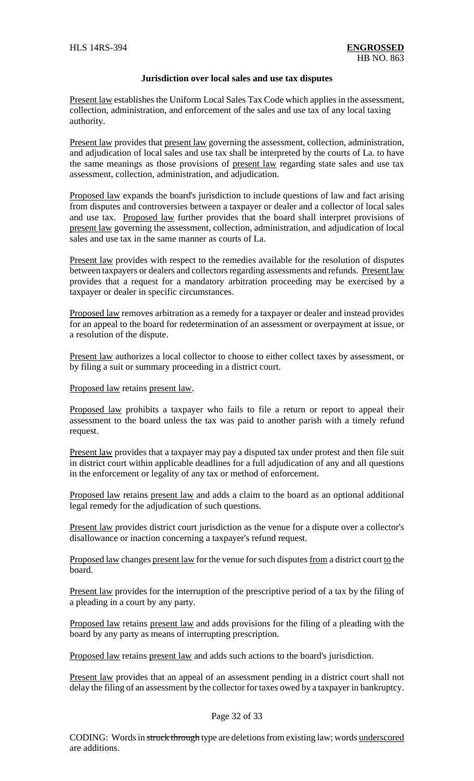### **Jurisdiction over local sales and use tax disputes**

Present law establishes the Uniform Local Sales Tax Code which applies in the assessment, collection, administration, and enforcement of the sales and use tax of any local taxing authority.

Present law provides that present law governing the assessment, collection, administration, and adjudication of local sales and use tax shall be interpreted by the courts of La. to have the same meanings as those provisions of present law regarding state sales and use tax assessment, collection, administration, and adjudication.

Proposed law expands the board's jurisdiction to include questions of law and fact arising from disputes and controversies between a taxpayer or dealer and a collector of local sales and use tax. Proposed law further provides that the board shall interpret provisions of present law governing the assessment, collection, administration, and adjudication of local sales and use tax in the same manner as courts of La.

Present law provides with respect to the remedies available for the resolution of disputes between taxpayers or dealers and collectors regarding assessments and refunds. Present law provides that a request for a mandatory arbitration proceeding may be exercised by a taxpayer or dealer in specific circumstances.

Proposed law removes arbitration as a remedy for a taxpayer or dealer and instead provides for an appeal to the board for redetermination of an assessment or overpayment at issue, or a resolution of the dispute.

Present law authorizes a local collector to choose to either collect taxes by assessment, or by filing a suit or summary proceeding in a district court.

Proposed law retains present law.

Proposed law prohibits a taxpayer who fails to file a return or report to appeal their assessment to the board unless the tax was paid to another parish with a timely refund request.

Present law provides that a taxpayer may pay a disputed tax under protest and then file suit in district court within applicable deadlines for a full adjudication of any and all questions in the enforcement or legality of any tax or method of enforcement.

Proposed law retains present law and adds a claim to the board as an optional additional legal remedy for the adjudication of such questions.

Present law provides district court jurisdiction as the venue for a dispute over a collector's disallowance or inaction concerning a taxpayer's refund request.

Proposed law changes present law for the venue for such disputes from a district court to the board.

Present law provides for the interruption of the prescriptive period of a tax by the filing of a pleading in a court by any party.

Proposed law retains present law and adds provisions for the filing of a pleading with the board by any party as means of interrupting prescription.

Proposed law retains present law and adds such actions to the board's jurisdiction.

Present law provides that an appeal of an assessment pending in a district court shall not delay the filing of an assessment by the collector for taxes owed by a taxpayer in bankruptcy.

# Page 32 of 33